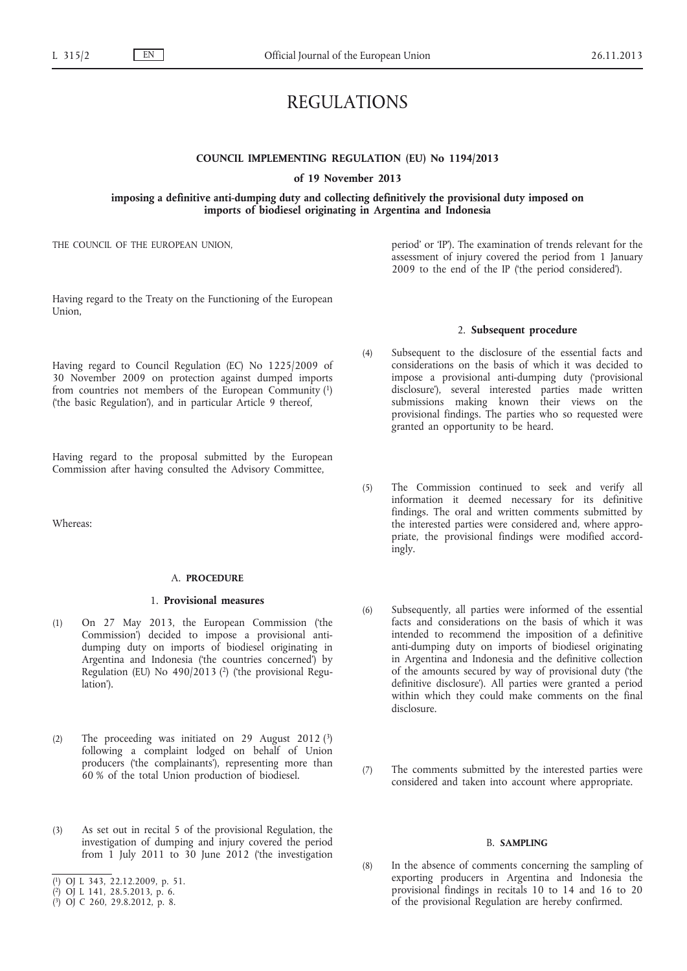# REGULATIONS

# **COUNCIL IMPLEMENTING REGULATION (EU) No 1194/2013**

**of 19 November 2013**

# **imposing a definitive anti-dumping duty and collecting definitively the provisional duty imposed on imports of biodiesel originating in Argentina and Indonesia**

THE COUNCIL OF THE EUROPEAN UNION,

Having regard to the Treaty on the Functioning of the European Union,

Having regard to Council Regulation (EC) No 1225/2009 of 30 November 2009 on protection against dumped imports from countries not members of the European Community (1) ('the basic Regulation'), and in particular Article 9 thereof,

Having regard to the proposal submitted by the European Commission after having consulted the Advisory Committee,

Whereas:

#### A. **PROCEDURE**

#### 1. **Provisional measures**

- (1) On 27 May 2013, the European Commission ('the Commission') decided to impose a provisional antidumping duty on imports of biodiesel originating in Argentina and Indonesia ('the countries concerned') by Regulation (EU) No 490/2013 (2) ('the provisional Regulation').
- (2) The proceeding was initiated on 29 August 2012 $(3)$ following a complaint lodged on behalf of Union producers ('the complainants'), representing more than 60 % of the total Union production of biodiesel.
- (3) As set out in recital 5 of the provisional Regulation, the investigation of dumping and injury covered the period from 1 July 2011 to 30 June 2012 ('the investigation
- ( 1) OJ L 343, 22.12.2009, p. 51.
- ( 2) OJ L 141, 28.5.2013, p. 6.

period' or 'IP'). The examination of trends relevant for the assessment of injury covered the period from 1 January 2009 to the end of the IP ('the period considered').

### 2. **Subsequent procedure**

- (4) Subsequent to the disclosure of the essential facts and considerations on the basis of which it was decided to impose a provisional anti-dumping duty ('provisional disclosure'), several interested parties made written submissions making known their views on the provisional findings. The parties who so requested were granted an opportunity to be heard.
- (5) The Commission continued to seek and verify all information it deemed necessary for its definitive findings. The oral and written comments submitted by the interested parties were considered and, where appropriate, the provisional findings were modified accordingly.
- (6) Subsequently, all parties were informed of the essential facts and considerations on the basis of which it was intended to recommend the imposition of a definitive anti-dumping duty on imports of biodiesel originating in Argentina and Indonesia and the definitive collection of the amounts secured by way of provisional duty ('the definitive disclosure'). All parties were granted a period within which they could make comments on the final disclosure.
- (7) The comments submitted by the interested parties were considered and taken into account where appropriate.

### B. **SAMPLING**

(8) In the absence of comments concerning the sampling of exporting producers in Argentina and Indonesia the provisional findings in recitals 10 to 14 and 16 to 20 of the provisional Regulation are hereby confirmed.

<sup>(</sup> 3) OJ C 260, 29.8.2012, p. 8.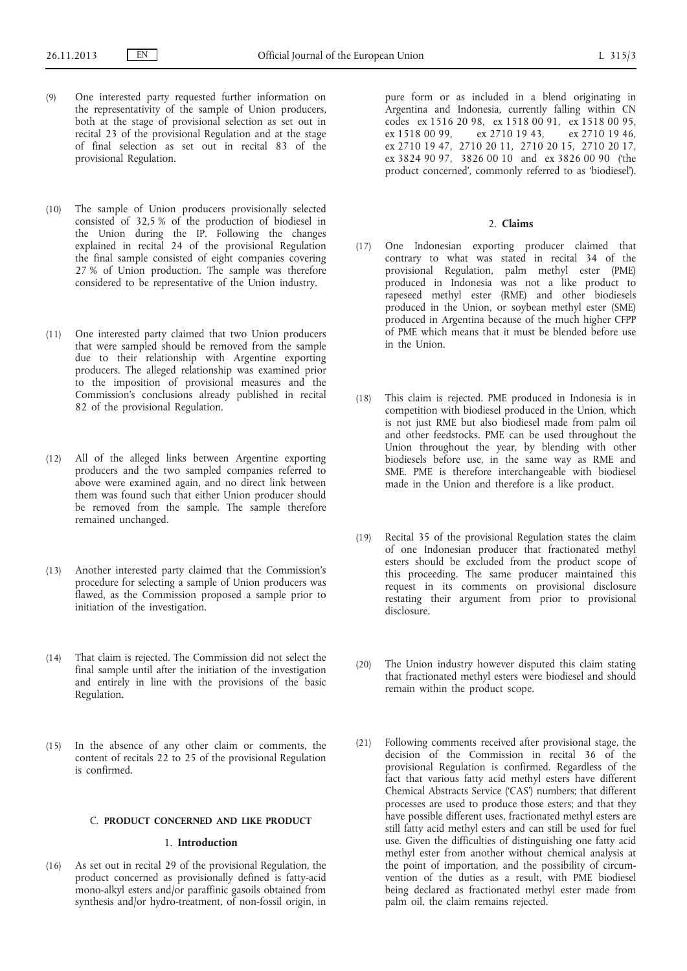- (9) One interested party requested further information on the representativity of the sample of Union producers, both at the stage of provisional selection as set out in recital 23 of the provisional Regulation and at the stage of final selection as set out in recital 83 of the provisional Regulation.
- (10) The sample of Union producers provisionally selected consisted of 32,5 % of the production of biodiesel in the Union during the IP. Following the changes explained in recital 24 of the provisional Regulation the final sample consisted of eight companies covering 27 % of Union production. The sample was therefore considered to be representative of the Union industry.
- (11) One interested party claimed that two Union producers that were sampled should be removed from the sample due to their relationship with Argentine exporting producers. The alleged relationship was examined prior to the imposition of provisional measures and the Commission's conclusions already published in recital 82 of the provisional Regulation.
- (12) All of the alleged links between Argentine exporting producers and the two sampled companies referred to above were examined again, and no direct link between them was found such that either Union producer should be removed from the sample. The sample therefore remained unchanged.
- (13) Another interested party claimed that the Commission's procedure for selecting a sample of Union producers was flawed, as the Commission proposed a sample prior to initiation of the investigation.
- (14) That claim is rejected. The Commission did not select the final sample until after the initiation of the investigation and entirely in line with the provisions of the basic Regulation.
- (15) In the absence of any other claim or comments, the content of recitals 22 to 25 of the provisional Regulation is confirmed.

### C. **PRODUCT CONCERNED AND LIKE PRODUCT**

# 1. **Introduction**

(16) As set out in recital 29 of the provisional Regulation, the product concerned as provisionally defined is fatty-acid mono-alkyl esters and/or paraffinic gasoils obtained from synthesis and/or hydro-treatment, of non-fossil origin, in pure form or as included in a blend originating in Argentina and Indonesia, currently falling within CN codes ex 1516 20 98, ex 1518 00 91, ex 1518 00 95, ex 1518 00 99, ex 2710 19 43, ex 2710 19 47, 2710 20 11, 2710 20 15, 2710 20 17, ex 3824 90 97, 3826 00 10 and ex 3826 00 90 ('the product concerned', commonly referred to as 'biodiesel').

# 2. **Claims**

- (17) One Indonesian exporting producer claimed that contrary to what was stated in recital 34 of the provisional Regulation, palm methyl ester (PME) produced in Indonesia was not a like product to rapeseed methyl ester (RME) and other biodiesels produced in the Union, or soybean methyl ester (SME) produced in Argentina because of the much higher CFPP of PME which means that it must be blended before use in the Union.
- (18) This claim is rejected. PME produced in Indonesia is in competition with biodiesel produced in the Union, which is not just RME but also biodiesel made from palm oil and other feedstocks. PME can be used throughout the Union throughout the year, by blending with other biodiesels before use, in the same way as RME and SME. PME is therefore interchangeable with biodiesel made in the Union and therefore is a like product.
- (19) Recital 35 of the provisional Regulation states the claim of one Indonesian producer that fractionated methyl esters should be excluded from the product scope of this proceeding. The same producer maintained this request in its comments on provisional disclosure restating their argument from prior to provisional disclosure.
- (20) The Union industry however disputed this claim stating that fractionated methyl esters were biodiesel and should remain within the product scope.
- (21) Following comments received after provisional stage, the decision of the Commission in recital 36 of the provisional Regulation is confirmed. Regardless of the fact that various fatty acid methyl esters have different Chemical Abstracts Service ('CAS') numbers; that different processes are used to produce those esters; and that they have possible different uses, fractionated methyl esters are still fatty acid methyl esters and can still be used for fuel use. Given the difficulties of distinguishing one fatty acid methyl ester from another without chemical analysis at the point of importation, and the possibility of circumvention of the duties as a result, with PME biodiesel being declared as fractionated methyl ester made from palm oil, the claim remains rejected.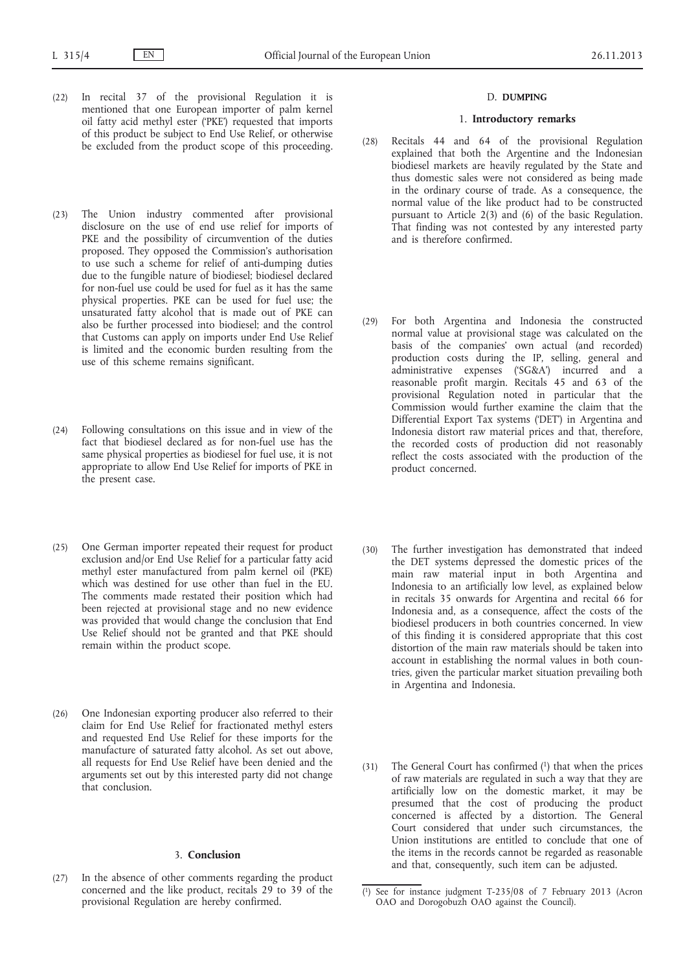- (22) In recital 37 of the provisional Regulation it is mentioned that one European importer of palm kernel oil fatty acid methyl ester ('PKE') requested that imports of this product be subject to End Use Relief, or otherwise be excluded from the product scope of this proceeding.
- (23) The Union industry commented after provisional disclosure on the use of end use relief for imports of PKE and the possibility of circumvention of the duties proposed. They opposed the Commission's authorisation to use such a scheme for relief of anti-dumping duties due to the fungible nature of biodiesel; biodiesel declared for non-fuel use could be used for fuel as it has the same physical properties. PKE can be used for fuel use; the unsaturated fatty alcohol that is made out of PKE can also be further processed into biodiesel; and the control that Customs can apply on imports under End Use Relief is limited and the economic burden resulting from the use of this scheme remains significant.
- (24) Following consultations on this issue and in view of the fact that biodiesel declared as for non-fuel use has the same physical properties as biodiesel for fuel use, it is not appropriate to allow End Use Relief for imports of PKE in the present case.
- (25) One German importer repeated their request for product exclusion and/or End Use Relief for a particular fatty acid methyl ester manufactured from palm kernel oil (PKE) which was destined for use other than fuel in the EU. The comments made restated their position which had been rejected at provisional stage and no new evidence was provided that would change the conclusion that End Use Relief should not be granted and that PKE should remain within the product scope.
- (26) One Indonesian exporting producer also referred to their claim for End Use Relief for fractionated methyl esters and requested End Use Relief for these imports for the manufacture of saturated fatty alcohol. As set out above, all requests for End Use Relief have been denied and the arguments set out by this interested party did not change that conclusion.

# 3. **Conclusion**

(27) In the absence of other comments regarding the product concerned and the like product, recitals 29 to 39 of the provisional Regulation are hereby confirmed.

### D. **DUMPING**

# 1. **Introductory remarks**

- (28) Recitals 44 and 64 of the provisional Regulation explained that both the Argentine and the Indonesian biodiesel markets are heavily regulated by the State and thus domestic sales were not considered as being made in the ordinary course of trade. As a consequence, the normal value of the like product had to be constructed pursuant to Article 2(3) and (6) of the basic Regulation. That finding was not contested by any interested party and is therefore confirmed.
- (29) For both Argentina and Indonesia the constructed normal value at provisional stage was calculated on the basis of the companies' own actual (and recorded) production costs during the IP, selling, general and administrative expenses ('SG&A') incurred and a reasonable profit margin. Recitals 45 and 63 of the provisional Regulation noted in particular that the Commission would further examine the claim that the Differential Export Tax systems ('DET') in Argentina and Indonesia distort raw material prices and that, therefore, the recorded costs of production did not reasonably reflect the costs associated with the production of the product concerned.
- (30) The further investigation has demonstrated that indeed the DET systems depressed the domestic prices of the main raw material input in both Argentina and Indonesia to an artificially low level, as explained below in recitals 35 onwards for Argentina and recital 66 for Indonesia and, as a consequence, affect the costs of the biodiesel producers in both countries concerned. In view of this finding it is considered appropriate that this cost distortion of the main raw materials should be taken into account in establishing the normal values in both countries, given the particular market situation prevailing both in Argentina and Indonesia.
- (31) The General Court has confirmed (1) that when the prices of raw materials are regulated in such a way that they are artificially low on the domestic market, it may be presumed that the cost of producing the product concerned is affected by a distortion. The General Court considered that under such circumstances, the Union institutions are entitled to conclude that one of the items in the records cannot be regarded as reasonable and that, consequently, such item can be adjusted.

 $(1)$ See for instance judgment T-235/08 of 7 February 2013 (Acron OAO and Dorogobuzh OAO against the Council).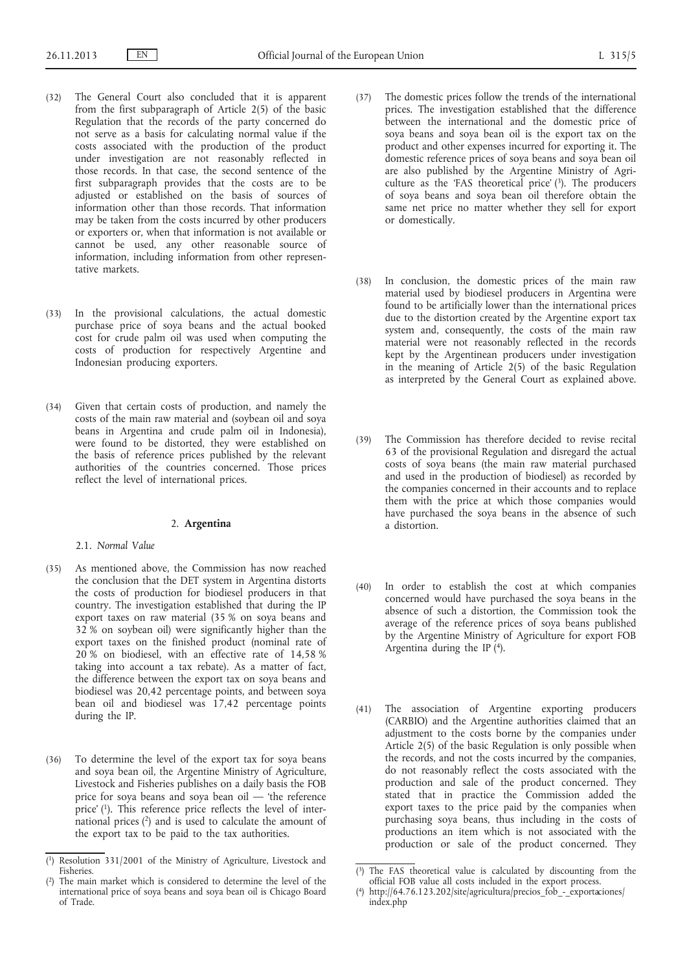- (32) The General Court also concluded that it is apparent from the first subparagraph of Article 2(5) of the basic Regulation that the records of the party concerned do not serve as a basis for calculating normal value if the costs associated with the production of the product under investigation are not reasonably reflected in those records. In that case, the second sentence of the first subparagraph provides that the costs are to be adjusted or established on the basis of sources of information other than those records. That information may be taken from the costs incurred by other producers or exporters or, when that information is not available or cannot be used, any other reasonable source of information, including information from other representative markets.
- (33) In the provisional calculations, the actual domestic purchase price of soya beans and the actual booked cost for crude palm oil was used when computing the costs of production for respectively Argentine and Indonesian producing exporters.
- (34) Given that certain costs of production, and namely the costs of the main raw material and (soybean oil and soya beans in Argentina and crude palm oil in Indonesia), were found to be distorted, they were established on the basis of reference prices published by the relevant authorities of the countries concerned. Those prices reflect the level of international prices.

# 2. **Argentina**

2.1. *Normal Value*

- (35) As mentioned above, the Commission has now reached the conclusion that the DET system in Argentina distorts the costs of production for biodiesel producers in that country. The investigation established that during the IP export taxes on raw material (35 % on soya beans and 32 % on soybean oil) were significantly higher than the export taxes on the finished product (nominal rate of 20 % on biodiesel, with an effective rate of 14,58 % taking into account a tax rebate). As a matter of fact, the difference between the export tax on soya beans and biodiesel was 20,42 percentage points, and between soya bean oil and biodiesel was 17,42 percentage points during the IP.
- (36) To determine the level of the export tax for soya beans and soya bean oil, the Argentine Ministry of Agriculture, Livestock and Fisheries publishes on a daily basis the FOB price for soya beans and soya bean oil — 'the reference price' (1). This reference price reflects the level of international prices  $(2)$  and is used to calculate the amount of the export tax to be paid to the tax authorities.
- (37) The domestic prices follow the trends of the international prices. The investigation established that the difference between the international and the domestic price of soya beans and soya bean oil is the export tax on the product and other expenses incurred for exporting it. The domestic reference prices of soya beans and soya bean oil are also published by the Argentine Ministry of Agriculture as the 'FAS theoretical price' (3). The producers of soya beans and soya bean oil therefore obtain the same net price no matter whether they sell for export or domestically.
- (38) In conclusion, the domestic prices of the main raw material used by biodiesel producers in Argentina were found to be artificially lower than the international prices due to the distortion created by the Argentine export tax system and, consequently, the costs of the main raw material were not reasonably reflected in the records kept by the Argentinean producers under investigation in the meaning of Article 2(5) of the basic Regulation as interpreted by the General Court as explained above.
- (39) The Commission has therefore decided to revise recital 63 of the provisional Regulation and disregard the actual costs of soya beans (the main raw material purchased and used in the production of biodiesel) as recorded by the companies concerned in their accounts and to replace them with the price at which those companies would have purchased the soya beans in the absence of such a distortion.
- (40) In order to establish the cost at which companies concerned would have purchased the soya beans in the absence of such a distortion, the Commission took the average of the reference prices of soya beans published by the Argentine Ministry of Agriculture for export FOB Argentina during the IP (4).
- (41) The association of Argentine exporting producers (CARBIO) and the Argentine authorities claimed that an adjustment to the costs borne by the companies under Article 2(5) of the basic Regulation is only possible when the records, and not the costs incurred by the companies, do not reasonably reflect the costs associated with the production and sale of the product concerned. They stated that in practice the Commission added the export taxes to the price paid by the companies when purchasing soya beans, thus including in the costs of productions an item which is not associated with the production or sale of the product concerned. They

<sup>(</sup> 1) Resolution 331/2001 of the Ministry of Agriculture, Livestock and Fisheries.

<sup>(</sup> The main market which is considered to determine the level of the international price of soya beans and soya bean oil is Chicago Board of Trade.

<sup>(</sup> 3) The FAS theoretical value is calculated by discounting from the official FOB value all costs included in the export process.

<sup>(</sup> 4) [http://64.76.123.202/site/agricultura/precios\\_fob\\_-\\_exportaciones/](http://64.76.123.202/site/agricultura/precios_fob_-_exportaciones/index.php)  [index.php](http://64.76.123.202/site/agricultura/precios_fob_-_exportaciones/index.php)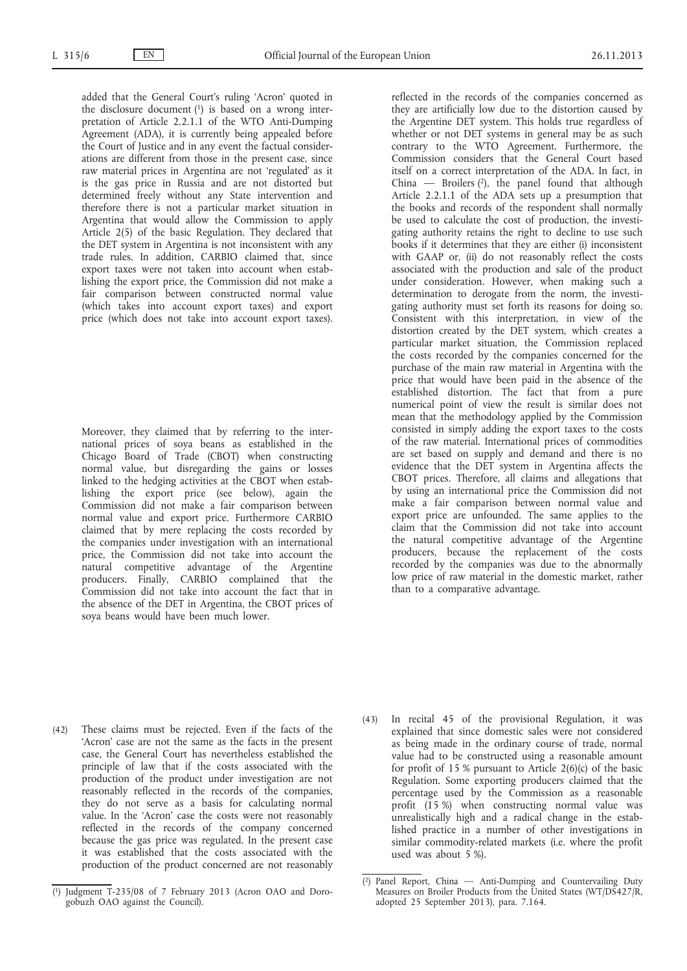added that the General Court's ruling 'Acron' quoted in the disclosure document  $(1)$  is based on a wrong interpretation of Article 2.2.1.1 of the WTO Anti-Dumping Agreement (ADA), it is currently being appealed before the Court of Justice and in any event the factual considerations are different from those in the present case, since raw material prices in Argentina are not 'regulated' as it is the gas price in Russia and are not distorted but determined freely without any State intervention and therefore there is not a particular market situation in Argentina that would allow the Commission to apply Article 2(5) of the basic Regulation. They declared that the DET system in Argentina is not inconsistent with any trade rules. In addition, CARBIO claimed that, since export taxes were not taken into account when establishing the export price, the Commission did not make a fair comparison between constructed normal value (which takes into account export taxes) and export price (which does not take into account export taxes).

Moreover, they claimed that by referring to the international prices of soya beans as established in the Chicago Board of Trade (CBOT) when constructing normal value, but disregarding the gains or losses linked to the hedging activities at the CBOT when establishing the export price (see below), again the Commission did not make a fair comparison between normal value and export price. Furthermore CARBIO claimed that by mere replacing the costs recorded by the companies under investigation with an international price, the Commission did not take into account the natural competitive advantage of the Argentine producers. Finally, CARBIO complained that the Commission did not take into account the fact that in the absence of the DET in Argentina, the CBOT prices of soya beans would have been much lower.

reflected in the records of the companies concerned as they are artificially low due to the distortion caused by the Argentine DET system. This holds true regardless of whether or not DET systems in general may be as such contrary to the WTO Agreement. Furthermore, the Commission considers that the General Court based itself on a correct interpretation of the ADA. In fact, in China — Broilers  $(2)$ , the panel found that although Article 2.2.1.1 of the ADA sets up a presumption that the books and records of the respondent shall normally be used to calculate the cost of production, the investigating authority retains the right to decline to use such books if it determines that they are either (i) inconsistent with GAAP or, (ii) do not reasonably reflect the costs associated with the production and sale of the product under consideration. However, when making such a determination to derogate from the norm, the investigating authority must set forth its reasons for doing so. Consistent with this interpretation, in view of the distortion created by the DET system, which creates a particular market situation, the Commission replaced the costs recorded by the companies concerned for the purchase of the main raw material in Argentina with the price that would have been paid in the absence of the established distortion. The fact that from a pure numerical point of view the result is similar does not mean that the methodology applied by the Commission consisted in simply adding the export taxes to the costs of the raw material. International prices of commodities are set based on supply and demand and there is no evidence that the DET system in Argentina affects the CBOT prices. Therefore, all claims and allegations that by using an international price the Commission did not make a fair comparison between normal value and export price are unfounded. The same applies to the claim that the Commission did not take into account the natural competitive advantage of the Argentine producers, because the replacement of the costs recorded by the companies was due to the abnormally low price of raw material in the domestic market, rather than to a comparative advantage.

(42) These claims must be rejected. Even if the facts of the 'Acron' case are not the same as the facts in the present case, the General Court has nevertheless established the principle of law that if the costs associated with the production of the product under investigation are not reasonably reflected in the records of the companies, they do not serve as a basis for calculating normal value. In the 'Acron' case the costs were not reasonably reflected in the records of the company concerned because the gas price was regulated. In the present case it was established that the costs associated with the production of the product concerned are not reasonably (43) In recital 45 of the provisional Regulation, it was explained that since domestic sales were not considered as being made in the ordinary course of trade, normal value had to be constructed using a reasonable amount for profit of 15 % pursuant to Article 2(6)(c) of the basic Regulation. Some exporting producers claimed that the percentage used by the Commission as a reasonable profit (15 %) when constructing normal value was unrealistically high and a radical change in the established practice in a number of other investigations in similar commodity-related markets (i.e. where the profit used was about 5 %).

<sup>(</sup> 1) Judgment T-235/08 of 7 February 2013 (Acron OAO and Dorogobuzh OAO against the Council).

<sup>(</sup> 2) Panel Report, China — Anti-Dumping and Countervailing Duty Measures on Broiler Products from the United States (WT/DS427/R, adopted 25 September 2013), para. 7.164.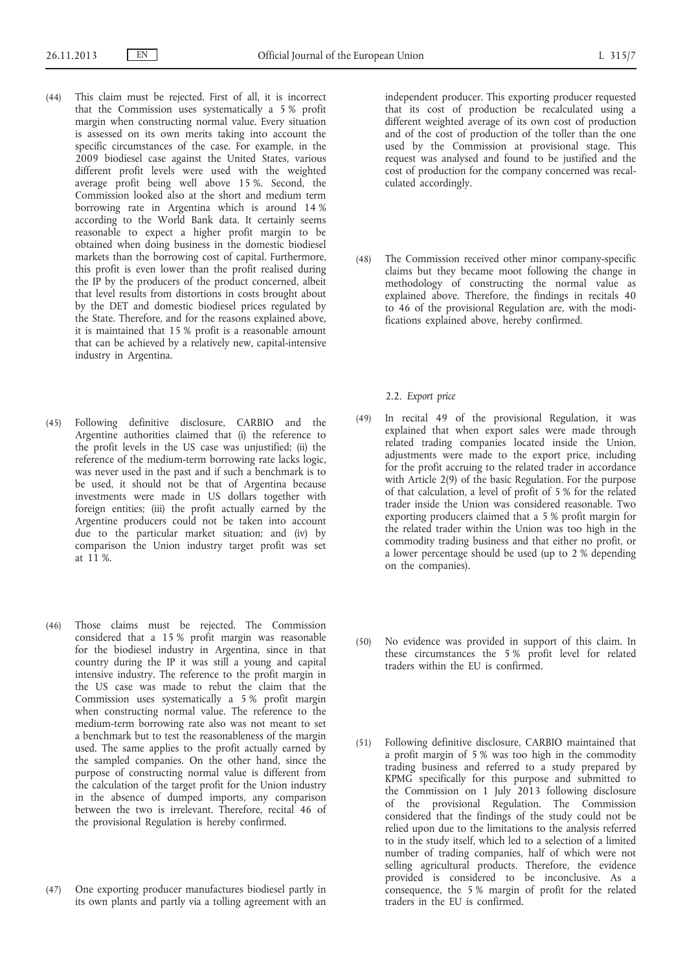- (44) This claim must be rejected. First of all, it is incorrect that the Commission uses systematically a 5 % profit margin when constructing normal value. Every situation is assessed on its own merits taking into account the specific circumstances of the case. For example, in the 2009 biodiesel case against the United States, various different profit levels were used with the weighted average profit being well above 15 %. Second, the Commission looked also at the short and medium term borrowing rate in Argentina which is around 14 % according to the World Bank data. It certainly seems reasonable to expect a higher profit margin to be obtained when doing business in the domestic biodiesel markets than the borrowing cost of capital. Furthermore, this profit is even lower than the profit realised during the IP by the producers of the product concerned, albeit that level results from distortions in costs brought about by the DET and domestic biodiesel prices regulated by the State. Therefore, and for the reasons explained above, it is maintained that 15 % profit is a reasonable amount that can be achieved by a relatively new, capital-intensive industry in Argentina.
- (45) Following definitive disclosure, CARBIO and the Argentine authorities claimed that (i) the reference to the profit levels in the US case was unjustified; (ii) the reference of the medium-term borrowing rate lacks logic, was never used in the past and if such a benchmark is to be used, it should not be that of Argentina because investments were made in US dollars together with foreign entities; (iii) the profit actually earned by the Argentine producers could not be taken into account due to the particular market situation; and (iv) by comparison the Union industry target profit was set at 11 %.
- (46) Those claims must be rejected. The Commission considered that a 15 % profit margin was reasonable for the biodiesel industry in Argentina, since in that country during the IP it was still a young and capital intensive industry. The reference to the profit margin in the US case was made to rebut the claim that the Commission uses systematically a 5 % profit margin when constructing normal value. The reference to the medium-term borrowing rate also was not meant to set a benchmark but to test the reasonableness of the margin used. The same applies to the profit actually earned by the sampled companies. On the other hand, since the purpose of constructing normal value is different from the calculation of the target profit for the Union industry in the absence of dumped imports, any comparison between the two is irrelevant. Therefore, recital 46 of the provisional Regulation is hereby confirmed.
- (47) One exporting producer manufactures biodiesel partly in its own plants and partly via a tolling agreement with an

independent producer. This exporting producer requested that its cost of production be recalculated using a different weighted average of its own cost of production and of the cost of production of the toller than the one used by the Commission at provisional stage. This request was analysed and found to be justified and the cost of production for the company concerned was recalculated accordingly.

(48) The Commission received other minor company-specific claims but they became moot following the change in methodology of constructing the normal value as explained above. Therefore, the findings in recitals 40 to 46 of the provisional Regulation are, with the modifications explained above, hereby confirmed.

# 2.2. *Export price*

- (49) In recital 49 of the provisional Regulation, it was explained that when export sales were made through related trading companies located inside the Union, adjustments were made to the export price, including for the profit accruing to the related trader in accordance with Article 2(9) of the basic Regulation. For the purpose of that calculation, a level of profit of 5 % for the related trader inside the Union was considered reasonable. Two exporting producers claimed that a 5 % profit margin for the related trader within the Union was too high in the commodity trading business and that either no profit, or a lower percentage should be used (up to 2 % depending on the companies).
- (50) No evidence was provided in support of this claim. In these circumstances the 5 % profit level for related traders within the EU is confirmed.
- (51) Following definitive disclosure, CARBIO maintained that a profit margin of 5 % was too high in the commodity trading business and referred to a study prepared by KPMG specifically for this purpose and submitted to the Commission on 1 July 2013 following disclosure of the provisional Regulation. The Commission considered that the findings of the study could not be relied upon due to the limitations to the analysis referred to in the study itself, which led to a selection of a limited number of trading companies, half of which were not selling agricultural products. Therefore, the evidence provided is considered to be inconclusive. As a consequence, the 5 % margin of profit for the related traders in the EU is confirmed.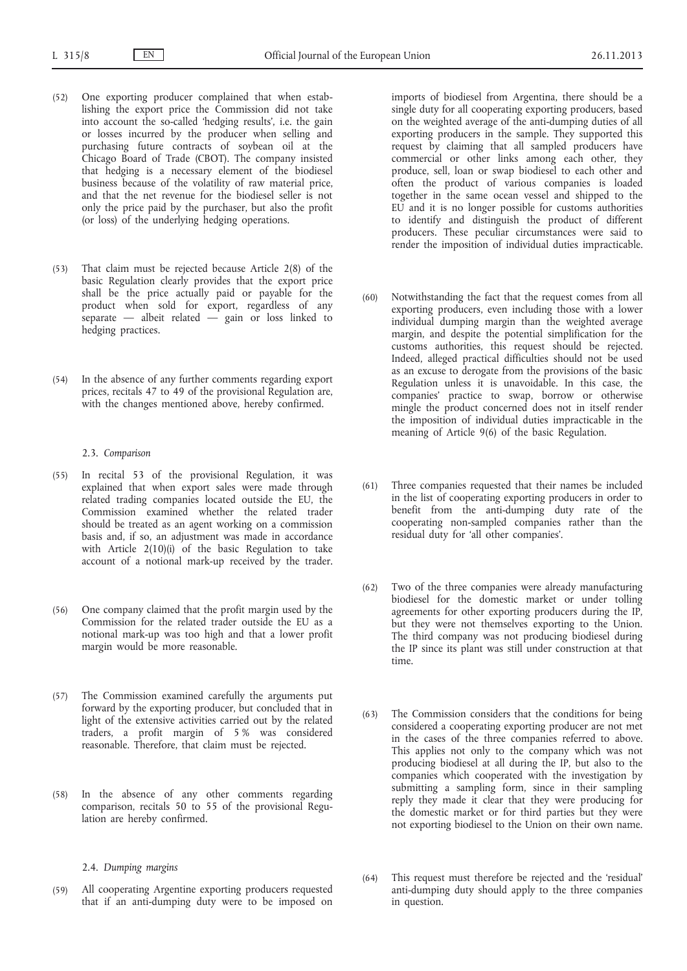- (52) One exporting producer complained that when establishing the export price the Commission did not take into account the so-called 'hedging results', i.e. the gain or losses incurred by the producer when selling and purchasing future contracts of soybean oil at the Chicago Board of Trade (CBOT). The company insisted that hedging is a necessary element of the biodiesel business because of the volatility of raw material price, and that the net revenue for the biodiesel seller is not only the price paid by the purchaser, but also the profit (or loss) of the underlying hedging operations.
- (53) That claim must be rejected because Article 2(8) of the basic Regulation clearly provides that the export price shall be the price actually paid or payable for the product when sold for export, regardless of any separate — albeit related  $\overline{-}$  gain or loss linked to hedging practices.
- (54) In the absence of any further comments regarding export prices, recitals 47 to 49 of the provisional Regulation are, with the changes mentioned above, hereby confirmed.

# 2.3. *Comparison*

- (55) In recital 53 of the provisional Regulation, it was explained that when export sales were made through related trading companies located outside the EU, the Commission examined whether the related trader should be treated as an agent working on a commission basis and, if so, an adjustment was made in accordance with Article  $2(10)(i)$  of the basic Regulation to take account of a notional mark-up received by the trader.
- (56) One company claimed that the profit margin used by the Commission for the related trader outside the EU as a notional mark-up was too high and that a lower profit margin would be more reasonable.
- (57) The Commission examined carefully the arguments put forward by the exporting producer, but concluded that in light of the extensive activities carried out by the related traders, a profit margin of 5 % was considered reasonable. Therefore, that claim must be rejected.
- (58) In the absence of any other comments regarding comparison, recitals 50 to 55 of the provisional Regulation are hereby confirmed.

# 2.4. *Dumping margins*

(59) All cooperating Argentine exporting producers requested that if an anti-dumping duty were to be imposed on imports of biodiesel from Argentina, there should be a single duty for all cooperating exporting producers, based on the weighted average of the anti-dumping duties of all exporting producers in the sample. They supported this request by claiming that all sampled producers have commercial or other links among each other, they produce, sell, loan or swap biodiesel to each other and often the product of various companies is loaded together in the same ocean vessel and shipped to the EU and it is no longer possible for customs authorities to identify and distinguish the product of different producers. These peculiar circumstances were said to render the imposition of individual duties impracticable.

- (60) Notwithstanding the fact that the request comes from all exporting producers, even including those with a lower individual dumping margin than the weighted average margin, and despite the potential simplification for the customs authorities, this request should be rejected. Indeed, alleged practical difficulties should not be used as an excuse to derogate from the provisions of the basic Regulation unless it is unavoidable. In this case, the companies' practice to swap, borrow or otherwise mingle the product concerned does not in itself render the imposition of individual duties impracticable in the meaning of Article 9(6) of the basic Regulation.
- (61) Three companies requested that their names be included in the list of cooperating exporting producers in order to benefit from the anti-dumping duty rate of the cooperating non-sampled companies rather than the residual duty for 'all other companies'.
- (62) Two of the three companies were already manufacturing biodiesel for the domestic market or under tolling agreements for other exporting producers during the IP, but they were not themselves exporting to the Union. The third company was not producing biodiesel during the IP since its plant was still under construction at that time.
- (63) The Commission considers that the conditions for being considered a cooperating exporting producer are not met in the cases of the three companies referred to above. This applies not only to the company which was not producing biodiesel at all during the IP, but also to the companies which cooperated with the investigation by submitting a sampling form, since in their sampling reply they made it clear that they were producing for the domestic market or for third parties but they were not exporting biodiesel to the Union on their own name.
- (64) This request must therefore be rejected and the 'residual' anti-dumping duty should apply to the three companies in question.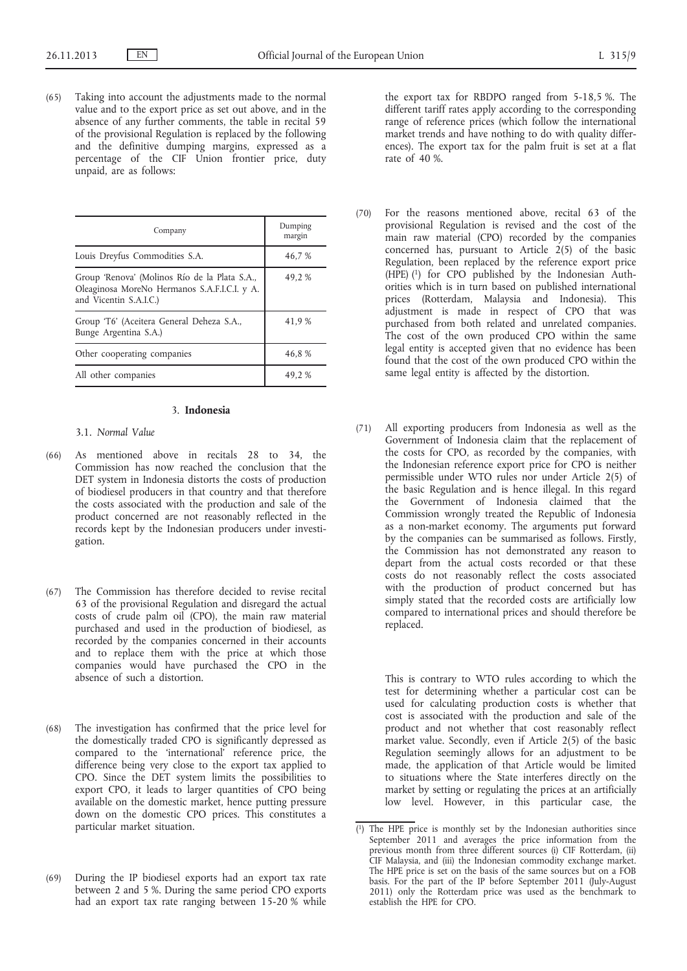(65) Taking into account the adjustments made to the normal value and to the export price as set out above, and in the absence of any further comments, the table in recital 59 of the provisional Regulation is replaced by the following and the definitive dumping margins, expressed as a percentage of the CIF Union frontier price, duty unpaid, are as follows:

| Company                                                                                                                 | Dumping<br>margin |
|-------------------------------------------------------------------------------------------------------------------------|-------------------|
| Louis Dreyfus Commodities S.A.                                                                                          | 46,7 %            |
| Group 'Renova' (Molinos Río de la Plata S.A.,<br>Oleaginosa MoreNo Hermanos S.A.F.I.C.I. y A.<br>and Vicentin S.A.I.C.) | 49,2%             |
| Group 'T6' (Aceitera General Deheza S.A.,<br>Bunge Argentina S.A.)                                                      | 41,9 %            |
| Other cooperating companies                                                                                             | 46,8%             |
| All other companies                                                                                                     | 49,2%             |

# 3. **Indonesia**

- 3.1. *Normal Value*
- (66) As mentioned above in recitals 28 to 34, the Commission has now reached the conclusion that the DET system in Indonesia distorts the costs of production of biodiesel producers in that country and that therefore the costs associated with the production and sale of the product concerned are not reasonably reflected in the records kept by the Indonesian producers under investigation.
- (67) The Commission has therefore decided to revise recital 63 of the provisional Regulation and disregard the actual costs of crude palm oil (CPO), the main raw material purchased and used in the production of biodiesel, as recorded by the companies concerned in their accounts and to replace them with the price at which those companies would have purchased the CPO in the absence of such a distortion.
- (68) The investigation has confirmed that the price level for the domestically traded CPO is significantly depressed as compared to the 'international' reference price, the difference being very close to the export tax applied to CPO. Since the DET system limits the possibilities to export CPO, it leads to larger quantities of CPO being available on the domestic market, hence putting pressure down on the domestic CPO prices. This constitutes a particular market situation.
- (69) During the IP biodiesel exports had an export tax rate between 2 and 5 %. During the same period CPO exports had an export tax rate ranging between 15-20 % while

the export tax for RBDPO ranged from 5-18,5 %. The different tariff rates apply according to the corresponding range of reference prices (which follow the international market trends and have nothing to do with quality differences). The export tax for the palm fruit is set at a flat rate of 40 %.

- (70) For the reasons mentioned above, recital 63 of the provisional Regulation is revised and the cost of the main raw material (CPO) recorded by the companies concerned has, pursuant to Article  $2(5)$  of the basic Regulation, been replaced by the reference export price (HPE) (1) for CPO published by the Indonesian Authorities which is in turn based on published international prices (Rotterdam, Malaysia and Indonesia). This adjustment is made in respect of CPO that was purchased from both related and unrelated companies. The cost of the own produced CPO within the same legal entity is accepted given that no evidence has been found that the cost of the own produced CPO within the same legal entity is affected by the distortion.
- (71) All exporting producers from Indonesia as well as the Government of Indonesia claim that the replacement of the costs for CPO, as recorded by the companies, with the Indonesian reference export price for CPO is neither permissible under WTO rules nor under Article 2(5) of the basic Regulation and is hence illegal. In this regard the Government of Indonesia claimed that the Commission wrongly treated the Republic of Indonesia as a non-market economy. The arguments put forward by the companies can be summarised as follows. Firstly, the Commission has not demonstrated any reason to depart from the actual costs recorded or that these costs do not reasonably reflect the costs associated with the production of product concerned but has simply stated that the recorded costs are artificially low compared to international prices and should therefore be replaced.

This is contrary to WTO rules according to which the test for determining whether a particular cost can be used for calculating production costs is whether that cost is associated with the production and sale of the product and not whether that cost reasonably reflect market value. Secondly, even if Article 2(5) of the basic Regulation seemingly allows for an adjustment to be made, the application of that Article would be limited to situations where the State interferes directly on the market by setting or regulating the prices at an artificially low level. However, in this particular case, the

<sup>(</sup> 1) The HPE price is monthly set by the Indonesian authorities since September 2011 and averages the price information from the previous month from three different sources (i) CIF Rotterdam, (ii) CIF Malaysia, and (iii) the Indonesian commodity exchange market. The HPE price is set on the basis of the same sources but on a FOB basis. For the part of the IP before September 2011 (July-August 2011) only the Rotterdam price was used as the benchmark to establish the HPE for CPO.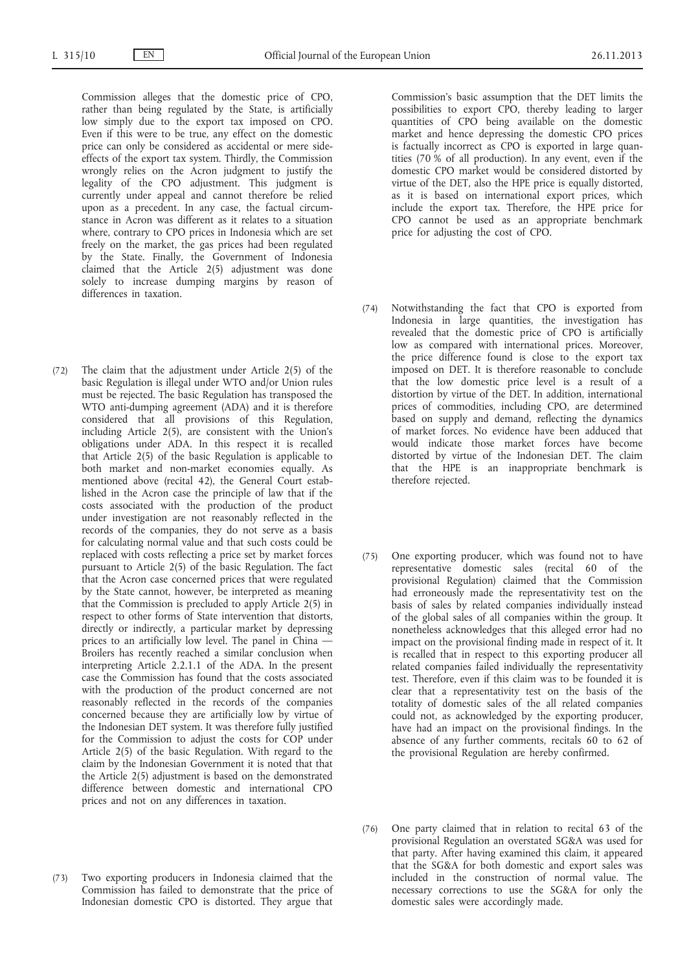Commission alleges that the domestic price of CPO, rather than being regulated by the State, is artificially low simply due to the export tax imposed on CPO. Even if this were to be true, any effect on the domestic price can only be considered as accidental or mere sideeffects of the export tax system. Thirdly, the Commission wrongly relies on the Acron judgment to justify the legality of the CPO adjustment. This judgment is currently under appeal and cannot therefore be relied upon as a precedent. In any case, the factual circumstance in Acron was different as it relates to a situation where, contrary to CPO prices in Indonesia which are set freely on the market, the gas prices had been regulated by the State. Finally, the Government of Indonesia claimed that the Article 2(5) adjustment was done solely to increase dumping margins by reason of differences in taxation.

- (72) The claim that the adjustment under Article 2(5) of the basic Regulation is illegal under WTO and/or Union rules must be rejected. The basic Regulation has transposed the WTO anti-dumping agreement (ADA) and it is therefore considered that all provisions of this Regulation, including Article 2(5), are consistent with the Union's obligations under ADA. In this respect it is recalled that Article 2(5) of the basic Regulation is applicable to both market and non-market economies equally. As mentioned above (recital 42), the General Court established in the Acron case the principle of law that if the costs associated with the production of the product under investigation are not reasonably reflected in the records of the companies, they do not serve as a basis for calculating normal value and that such costs could be replaced with costs reflecting a price set by market forces pursuant to Article 2(5) of the basic Regulation. The fact that the Acron case concerned prices that were regulated by the State cannot, however, be interpreted as meaning that the Commission is precluded to apply Article 2(5) in respect to other forms of State intervention that distorts, directly or indirectly, a particular market by depressing prices to an artificially low level. The panel in China — Broilers has recently reached a similar conclusion when interpreting Article 2.2.1.1 of the ADA. In the present case the Commission has found that the costs associated with the production of the product concerned are not reasonably reflected in the records of the companies concerned because they are artificially low by virtue of the Indonesian DET system. It was therefore fully justified for the Commission to adjust the costs for COP under Article 2(5) of the basic Regulation. With regard to the claim by the Indonesian Government it is noted that that the Article 2(5) adjustment is based on the demonstrated difference between domestic and international CPO prices and not on any differences in taxation.
- (73) Two exporting producers in Indonesia claimed that the Commission has failed to demonstrate that the price of Indonesian domestic CPO is distorted. They argue that

Commission's basic assumption that the DET limits the possibilities to export CPO, thereby leading to larger quantities of CPO being available on the domestic market and hence depressing the domestic CPO prices is factually incorrect as CPO is exported in large quantities (70 % of all production). In any event, even if the domestic CPO market would be considered distorted by virtue of the DET, also the HPE price is equally distorted, as it is based on international export prices, which include the export tax. Therefore, the HPE price for CPO cannot be used as an appropriate benchmark price for adjusting the cost of CPO.

- (74) Notwithstanding the fact that CPO is exported from Indonesia in large quantities, the investigation has revealed that the domestic price of CPO is artificially low as compared with international prices. Moreover, the price difference found is close to the export tax imposed on DET. It is therefore reasonable to conclude that the low domestic price level is a result of a distortion by virtue of the DET. In addition, international prices of commodities, including CPO, are determined based on supply and demand, reflecting the dynamics of market forces. No evidence have been adduced that would indicate those market forces have become distorted by virtue of the Indonesian DET. The claim that the HPE is an inappropriate benchmark is therefore rejected.
- (75) One exporting producer, which was found not to have representative domestic sales (recital 60 of the provisional Regulation) claimed that the Commission had erroneously made the representativity test on the basis of sales by related companies individually instead of the global sales of all companies within the group. It nonetheless acknowledges that this alleged error had no impact on the provisional finding made in respect of it. It is recalled that in respect to this exporting producer all related companies failed individually the representativity test. Therefore, even if this claim was to be founded it is clear that a representativity test on the basis of the totality of domestic sales of the all related companies could not, as acknowledged by the exporting producer, have had an impact on the provisional findings. In the absence of any further comments, recitals 60 to 62 of the provisional Regulation are hereby confirmed.
- (76) One party claimed that in relation to recital 63 of the provisional Regulation an overstated SG&A was used for that party. After having examined this claim, it appeared that the SG&A for both domestic and export sales was included in the construction of normal value. The necessary corrections to use the SG&A for only the domestic sales were accordingly made.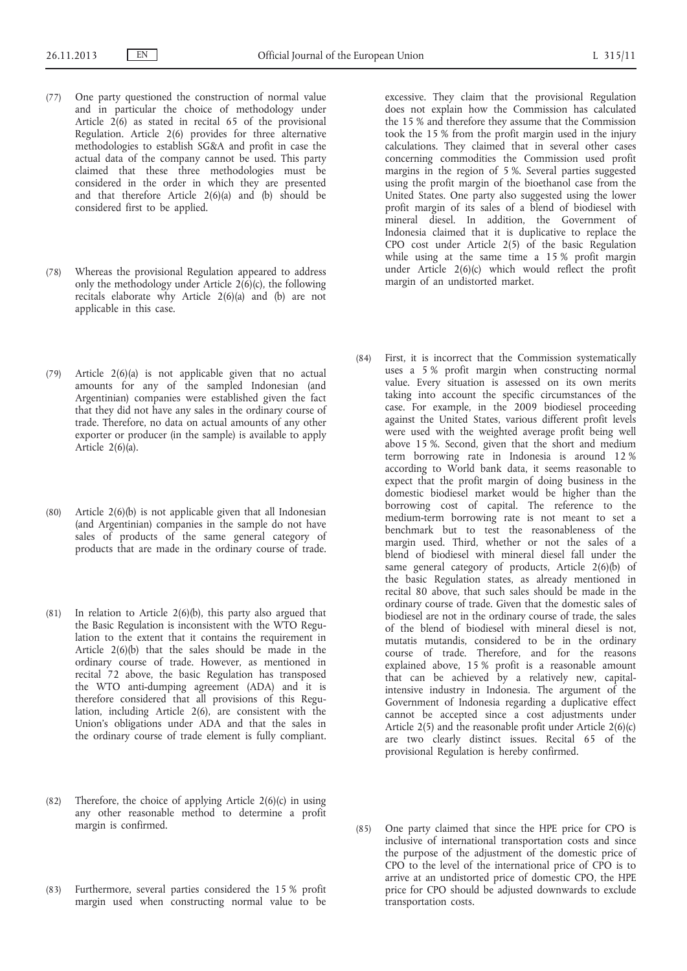- (77) One party questioned the construction of normal value and in particular the choice of methodology under Article  $2(6)$  as stated in recital 65 of the provisional Regulation. Article 2(6) provides for three alternative methodologies to establish SG&A and profit in case the actual data of the company cannot be used. This party claimed that these three methodologies must be considered in the order in which they are presented and that therefore Article  $2(6)(a)$  and  $(b)$  should be considered first to be applied.
- (78) Whereas the provisional Regulation appeared to address only the methodology under Article  $2(6)(c)$ , the following recitals elaborate why Article 2(6)(a) and (b) are not applicable in this case.
- (79) Article 2(6)(a) is not applicable given that no actual amounts for any of the sampled Indonesian (and Argentinian) companies were established given the fact that they did not have any sales in the ordinary course of trade. Therefore, no data on actual amounts of any other exporter or producer (in the sample) is available to apply Article  $2(6)(a)$ .
- (80) Article 2(6)(b) is not applicable given that all Indonesian (and Argentinian) companies in the sample do not have sales of products of the same general category of products that are made in the ordinary course of trade.
- (81) In relation to Article  $2(6)(b)$ , this party also argued that the Basic Regulation is inconsistent with the WTO Regulation to the extent that it contains the requirement in Article 2(6)(b) that the sales should be made in the ordinary course of trade. However, as mentioned in recital 72 above, the basic Regulation has transposed the WTO anti-dumping agreement (ADA) and it is therefore considered that all provisions of this Regulation, including Article 2(6), are consistent with the Union's obligations under ADA and that the sales in the ordinary course of trade element is fully compliant.
- (82) Therefore, the choice of applying Article  $2(6)(c)$  in using any other reasonable method to determine a profit margin is confirmed.
- (83) Furthermore, several parties considered the 15 % profit margin used when constructing normal value to be

excessive. They claim that the provisional Regulation does not explain how the Commission has calculated the 15 % and therefore they assume that the Commission took the 15 % from the profit margin used in the injury calculations. They claimed that in several other cases concerning commodities the Commission used profit margins in the region of 5 %. Several parties suggested using the profit margin of the bioethanol case from the United States. One party also suggested using the lower profit margin of its sales of a blend of biodiesel with mineral diesel. In addition, the Government of Indonesia claimed that it is duplicative to replace the CPO cost under Article 2(5) of the basic Regulation while using at the same time a 15 % profit margin under Article 2(6)(c) which would reflect the profit margin of an undistorted market.

- (84) First, it is incorrect that the Commission systematically uses a 5 % profit margin when constructing normal value. Every situation is assessed on its own merits taking into account the specific circumstances of the case. For example, in the 2009 biodiesel proceeding against the United States, various different profit levels were used with the weighted average profit being well above 15 %. Second, given that the short and medium term borrowing rate in Indonesia is around 12 % according to World bank data, it seems reasonable to expect that the profit margin of doing business in the domestic biodiesel market would be higher than the borrowing cost of capital. The reference to the medium-term borrowing rate is not meant to set a benchmark but to test the reasonableness of the margin used. Third, whether or not the sales of a blend of biodiesel with mineral diesel fall under the same general category of products, Article 2(6)(b) of the basic Regulation states, as already mentioned in recital 80 above, that such sales should be made in the ordinary course of trade. Given that the domestic sales of biodiesel are not in the ordinary course of trade, the sales of the blend of biodiesel with mineral diesel is not, mutatis mutandis, considered to be in the ordinary course of trade. Therefore, and for the reasons explained above, 15 % profit is a reasonable amount that can be achieved by a relatively new, capitalintensive industry in Indonesia. The argument of the Government of Indonesia regarding a duplicative effect cannot be accepted since a cost adjustments under Article 2(5) and the reasonable profit under Article 2(6)(c) are two clearly distinct issues. Recital 65 of the provisional Regulation is hereby confirmed.
- (85) One party claimed that since the HPE price for CPO is inclusive of international transportation costs and since the purpose of the adjustment of the domestic price of CPO to the level of the international price of CPO is to arrive at an undistorted price of domestic CPO, the HPE price for CPO should be adjusted downwards to exclude transportation costs.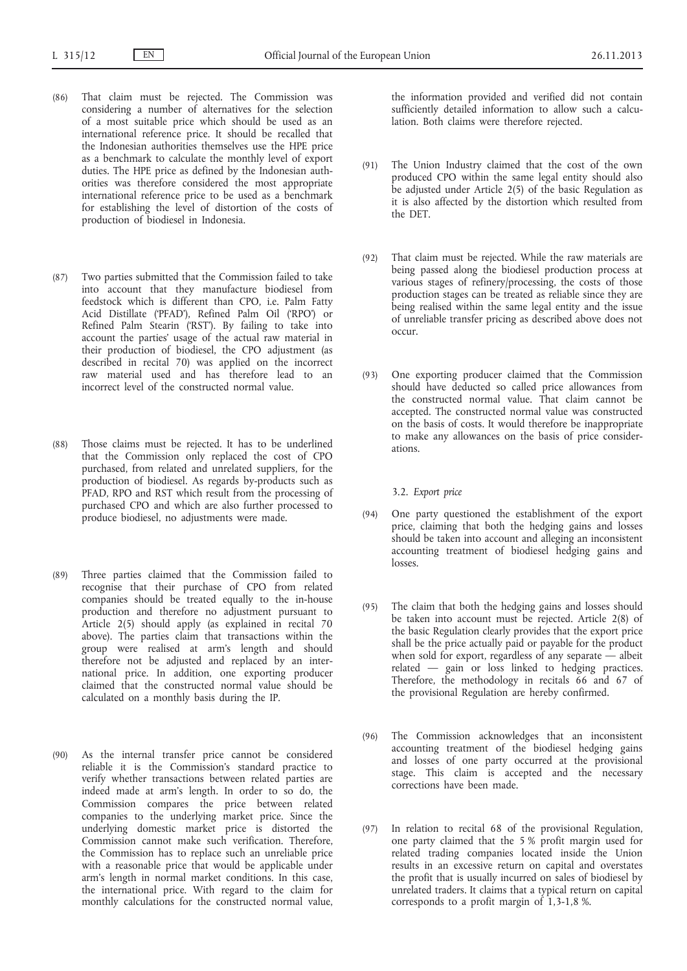- (86) That claim must be rejected. The Commission was considering a number of alternatives for the selection of a most suitable price which should be used as an international reference price. It should be recalled that the Indonesian authorities themselves use the HPE price as a benchmark to calculate the monthly level of export duties. The HPE price as defined by the Indonesian authorities was therefore considered the most appropriate international reference price to be used as a benchmark for establishing the level of distortion of the costs of production of biodiesel in Indonesia.
- (87) Two parties submitted that the Commission failed to take into account that they manufacture biodiesel from feedstock which is different than CPO, i.e. Palm Fatty Acid Distillate ('PFAD'), Refined Palm Oil ('RPO') or Refined Palm Stearin ('RST'). By failing to take into account the parties' usage of the actual raw material in their production of biodiesel, the CPO adjustment (as described in recital 70) was applied on the incorrect raw material used and has therefore lead to an incorrect level of the constructed normal value.
- (88) Those claims must be rejected. It has to be underlined that the Commission only replaced the cost of CPO purchased, from related and unrelated suppliers, for the production of biodiesel. As regards by-products such as PFAD, RPO and RST which result from the processing of purchased CPO and which are also further processed to produce biodiesel, no adjustments were made.
- (89) Three parties claimed that the Commission failed to recognise that their purchase of CPO from related companies should be treated equally to the in-house production and therefore no adjustment pursuant to Article 2(5) should apply (as explained in recital 70 above). The parties claim that transactions within the group were realised at arm's length and should therefore not be adjusted and replaced by an international price. In addition, one exporting producer claimed that the constructed normal value should be calculated on a monthly basis during the IP.
- (90) As the internal transfer price cannot be considered reliable it is the Commission's standard practice to verify whether transactions between related parties are indeed made at arm's length. In order to so do, the Commission compares the price between related companies to the underlying market price. Since the underlying domestic market price is distorted the Commission cannot make such verification. Therefore, the Commission has to replace such an unreliable price with a reasonable price that would be applicable under arm's length in normal market conditions. In this case, the international price. With regard to the claim for monthly calculations for the constructed normal value,

the information provided and verified did not contain sufficiently detailed information to allow such a calculation. Both claims were therefore rejected.

- (91) The Union Industry claimed that the cost of the own produced CPO within the same legal entity should also be adjusted under Article 2(5) of the basic Regulation as it is also affected by the distortion which resulted from the DET.
- (92) That claim must be rejected. While the raw materials are being passed along the biodiesel production process at various stages of refinery/processing, the costs of those production stages can be treated as reliable since they are being realised within the same legal entity and the issue of unreliable transfer pricing as described above does not occur.
- (93) One exporting producer claimed that the Commission should have deducted so called price allowances from the constructed normal value. That claim cannot be accepted. The constructed normal value was constructed on the basis of costs. It would therefore be inappropriate to make any allowances on the basis of price considerations.

3.2. *Export price*

- (94) One party questioned the establishment of the export price, claiming that both the hedging gains and losses should be taken into account and alleging an inconsistent accounting treatment of biodiesel hedging gains and losses.
- (95) The claim that both the hedging gains and losses should be taken into account must be rejected. Article 2(8) of the basic Regulation clearly provides that the export price shall be the price actually paid or payable for the product when sold for export, regardless of any separate — albeit related — gain or loss linked to hedging practices. Therefore, the methodology in recitals 66 and 67 of the provisional Regulation are hereby confirmed.
- (96) The Commission acknowledges that an inconsistent accounting treatment of the biodiesel hedging gains and losses of one party occurred at the provisional stage. This claim is accepted and the necessary corrections have been made.
- (97) In relation to recital 68 of the provisional Regulation, one party claimed that the 5 % profit margin used for related trading companies located inside the Union results in an excessive return on capital and overstates the profit that is usually incurred on sales of biodiesel by unrelated traders. It claims that a typical return on capital corresponds to a profit margin of 1,3-1,8 %.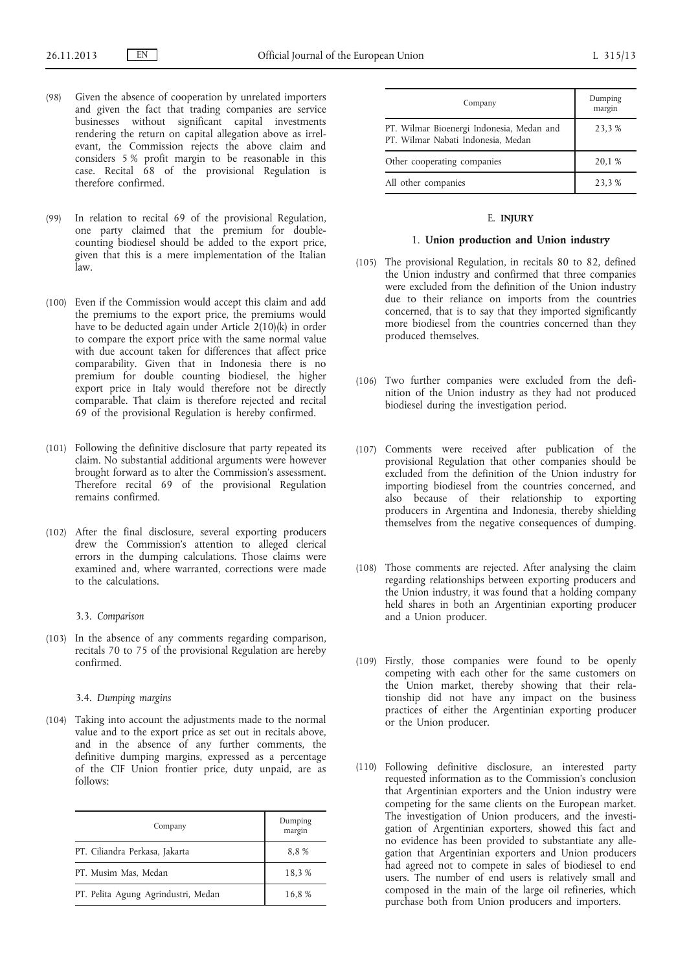- (98) Given the absence of cooperation by unrelated importers and given the fact that trading companies are service businesses without significant capital investments rendering the return on capital allegation above as irrelevant, the Commission rejects the above claim and considers 5 % profit margin to be reasonable in this case. Recital 68 of the provisional Regulation is therefore confirmed.
- (99) In relation to recital 69 of the provisional Regulation, one party claimed that the premium for doublecounting biodiesel should be added to the export price, given that this is a mere implementation of the Italian law.
- (100) Even if the Commission would accept this claim and add the premiums to the export price, the premiums would have to be deducted again under Article 2(10)(k) in order to compare the export price with the same normal value with due account taken for differences that affect price comparability. Given that in Indonesia there is no premium for double counting biodiesel, the higher export price in Italy would therefore not be directly comparable. That claim is therefore rejected and recital 69 of the provisional Regulation is hereby confirmed.
- (101) Following the definitive disclosure that party repeated its claim. No substantial additional arguments were however brought forward as to alter the Commission's assessment. Therefore recital 69 of the provisional Regulation remains confirmed.
- (102) After the final disclosure, several exporting producers drew the Commission's attention to alleged clerical errors in the dumping calculations. Those claims were examined and, where warranted, corrections were made to the calculations.

#### 3.3. *Comparison*

(103) In the absence of any comments regarding comparison, recitals 70 to 75 of the provisional Regulation are hereby confirmed.

### 3.4. *Dumping margins*

(104) Taking into account the adjustments made to the normal value and to the export price as set out in recitals above, and in the absence of any further comments, the definitive dumping margins, expressed as a percentage of the CIF Union frontier price, duty unpaid, are as follows:

| Company                             | Dumping<br>margin |
|-------------------------------------|-------------------|
| PT. Ciliandra Perkasa, Jakarta      | 8,8%              |
| PT. Musim Mas, Medan                | 18,3%             |
| PT. Pelita Agung Agrindustri, Medan | 16,8%             |

| Company                                                                         | Dumping<br>margin |
|---------------------------------------------------------------------------------|-------------------|
| PT. Wilmar Bioenergi Indonesia, Medan and<br>PT. Wilmar Nabati Indonesia, Medan | 23,3 %            |
| Other cooperating companies                                                     | 20,1 %            |
| All other companies                                                             | 23,3 %            |

#### E. **INJURY**

### 1. **Union production and Union industry**

- (105) The provisional Regulation, in recitals 80 to 82, defined the Union industry and confirmed that three companies were excluded from the definition of the Union industry due to their reliance on imports from the countries concerned, that is to say that they imported significantly more biodiesel from the countries concerned than they produced themselves.
- (106) Two further companies were excluded from the definition of the Union industry as they had not produced biodiesel during the investigation period.
- (107) Comments were received after publication of the provisional Regulation that other companies should be excluded from the definition of the Union industry for importing biodiesel from the countries concerned, and also because of their relationship to exporting producers in Argentina and Indonesia, thereby shielding themselves from the negative consequences of dumping.
- (108) Those comments are rejected. After analysing the claim regarding relationships between exporting producers and the Union industry, it was found that a holding company held shares in both an Argentinian exporting producer and a Union producer.
- (109) Firstly, those companies were found to be openly competing with each other for the same customers on the Union market, thereby showing that their relationship did not have any impact on the business practices of either the Argentinian exporting producer or the Union producer.
- (110) Following definitive disclosure, an interested party requested information as to the Commission's conclusion that Argentinian exporters and the Union industry were competing for the same clients on the European market. The investigation of Union producers, and the investigation of Argentinian exporters, showed this fact and no evidence has been provided to substantiate any allegation that Argentinian exporters and Union producers had agreed not to compete in sales of biodiesel to end users. The number of end users is relatively small and composed in the main of the large oil refineries, which purchase both from Union producers and importers.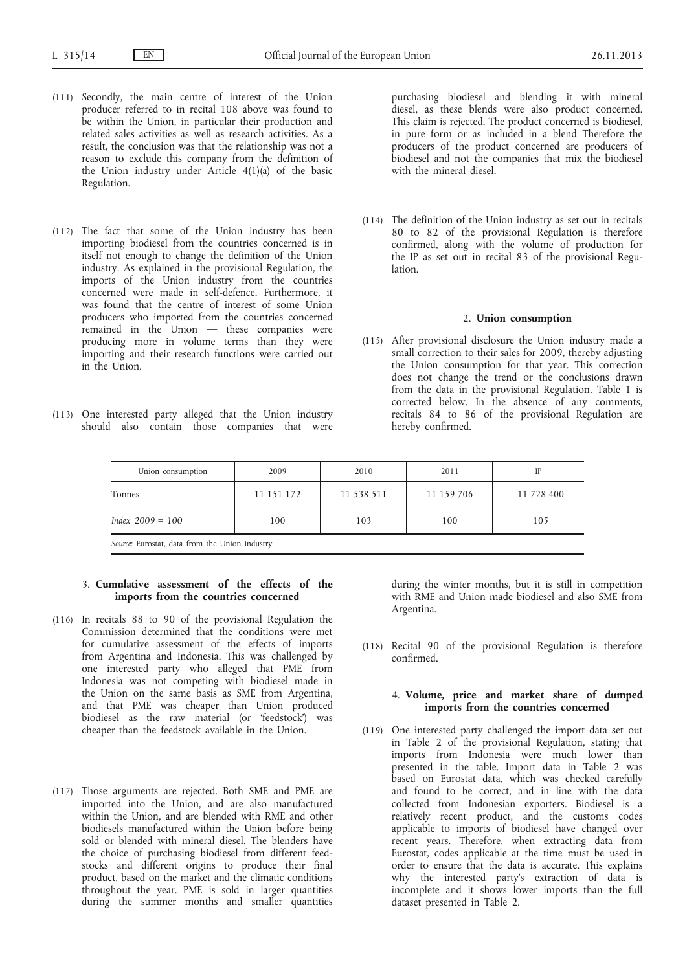- (111) Secondly, the main centre of interest of the Union producer referred to in recital 108 above was found to be within the Union, in particular their production and related sales activities as well as research activities. As a result, the conclusion was that the relationship was not a reason to exclude this company from the definition of the Union industry under Article 4(1)(a) of the basic Regulation.
- (112) The fact that some of the Union industry has been importing biodiesel from the countries concerned is in itself not enough to change the definition of the Union industry. As explained in the provisional Regulation, the imports of the Union industry from the countries concerned were made in self-defence. Furthermore, it was found that the centre of interest of some Union producers who imported from the countries concerned remained in the Union — these companies were producing more in volume terms than they were importing and their research functions were carried out in the Union.
- (113) One interested party alleged that the Union industry should also contain those companies that were

purchasing biodiesel and blending it with mineral diesel, as these blends were also product concerned. This claim is rejected. The product concerned is biodiesel, in pure form or as included in a blend Therefore the producers of the product concerned are producers of biodiesel and not the companies that mix the biodiesel with the mineral diesel.

(114) The definition of the Union industry as set out in recitals 80 to 82 of the provisional Regulation is therefore confirmed, along with the volume of production for the IP as set out in recital 83 of the provisional Regulation.

#### 2. **Union consumption**

(115) After provisional disclosure the Union industry made a small correction to their sales for 2009, thereby adjusting the Union consumption for that year. This correction does not change the trend or the conclusions drawn from the data in the provisional Regulation. Table 1 is corrected below. In the absence of any comments, recitals 84 to 86 of the provisional Regulation are hereby confirmed.

| Union consumption                                                                                                                                                                                                             | 2009       | 2010       | 2011       | IP         |
|-------------------------------------------------------------------------------------------------------------------------------------------------------------------------------------------------------------------------------|------------|------------|------------|------------|
| Tonnes                                                                                                                                                                                                                        | 11 151 172 | 11 538 511 | 11 159 706 | 11 728 400 |
| Index $2009 = 100$                                                                                                                                                                                                            | 100        | 103        | 100        | 105        |
| indicates the most contact of the contact of the contact of the contact of the contact of the contact of the contact of the contact of the contact of the contact of the contact of the contact of the contact of the contact |            |            |            |            |

*Source*: Eurostat, data from the Union industry

# 3. **Cumulative assessment of the effects of the imports from the countries concerned**

- (116) In recitals 88 to 90 of the provisional Regulation the Commission determined that the conditions were met for cumulative assessment of the effects of imports from Argentina and Indonesia. This was challenged by one interested party who alleged that PME from Indonesia was not competing with biodiesel made in the Union on the same basis as SME from Argentina, and that PME was cheaper than Union produced biodiesel as the raw material (or 'feedstock') was cheaper than the feedstock available in the Union.
- (117) Those arguments are rejected. Both SME and PME are imported into the Union, and are also manufactured within the Union, and are blended with RME and other biodiesels manufactured within the Union before being sold or blended with mineral diesel. The blenders have the choice of purchasing biodiesel from different feedstocks and different origins to produce their final product, based on the market and the climatic conditions throughout the year. PME is sold in larger quantities during the summer months and smaller quantities

during the winter months, but it is still in competition with RME and Union made biodiesel and also SME from Argentina.

(118) Recital 90 of the provisional Regulation is therefore confirmed.

# 4. **Volume, price and market share of dumped imports from the countries concerned**

(119) One interested party challenged the import data set out in Table 2 of the provisional Regulation, stating that imports from Indonesia were much lower than presented in the table. Import data in Table 2 was based on Eurostat data, which was checked carefully and found to be correct, and in line with the data collected from Indonesian exporters. Biodiesel is a relatively recent product, and the customs codes applicable to imports of biodiesel have changed over recent years. Therefore, when extracting data from Eurostat, codes applicable at the time must be used in order to ensure that the data is accurate. This explains why the interested party's extraction of data is incomplete and it shows lower imports than the full dataset presented in Table 2.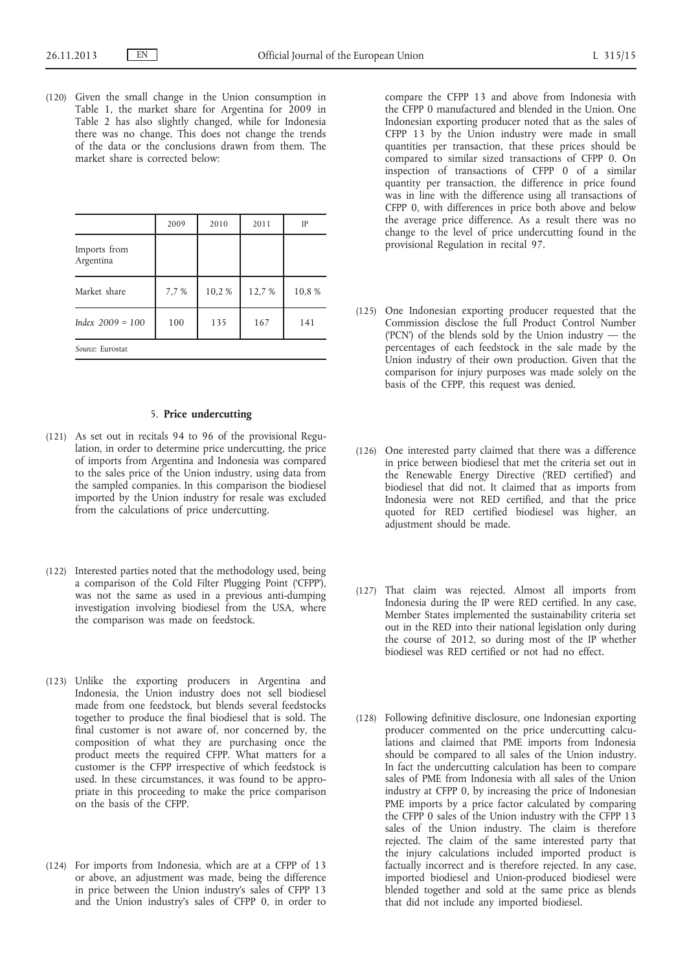(120) Given the small change in the Union consumption in Table 1, the market share for Argentina for 2009 in Table 2 has also slightly changed, while for Indonesia there was no change. This does not change the trends of the data or the conclusions drawn from them. The market share is corrected below:

|                           | 2009  | 2010  | 2011  | IP    |
|---------------------------|-------|-------|-------|-------|
| Imports from<br>Argentina |       |       |       |       |
| Market share              | 7,7 % | 10,2% | 12,7% | 10,8% |
| Index $2009 = 100$        | 100   | 135   | 167   | 141   |
| Source: Eurostat          |       |       |       |       |

# 5. **Price undercutting**

- (121) As set out in recitals 94 to 96 of the provisional Regulation, in order to determine price undercutting, the price of imports from Argentina and Indonesia was compared to the sales price of the Union industry, using data from the sampled companies. In this comparison the biodiesel imported by the Union industry for resale was excluded from the calculations of price undercutting.
- (122) Interested parties noted that the methodology used, being a comparison of the Cold Filter Plugging Point ('CFPP'), was not the same as used in a previous anti-dumping investigation involving biodiesel from the USA, where the comparison was made on feedstock.
- (123) Unlike the exporting producers in Argentina and Indonesia, the Union industry does not sell biodiesel made from one feedstock, but blends several feedstocks together to produce the final biodiesel that is sold. The final customer is not aware of, nor concerned by, the composition of what they are purchasing once the product meets the required CFPP. What matters for a customer is the CFPP irrespective of which feedstock is used. In these circumstances, it was found to be appropriate in this proceeding to make the price comparison on the basis of the CFPP.
- (124) For imports from Indonesia, which are at a CFPP of 13 or above, an adjustment was made, being the difference in price between the Union industry's sales of CFPP 13 and the Union industry's sales of CFPP 0, in order to

compare the CFPP 13 and above from Indonesia with the CFPP 0 manufactured and blended in the Union. One Indonesian exporting producer noted that as the sales of CFPP 13 by the Union industry were made in small quantities per transaction, that these prices should be compared to similar sized transactions of CFPP 0. On inspection of transactions of CFPP 0 of a similar quantity per transaction, the difference in price found was in line with the difference using all transactions of CFPP 0, with differences in price both above and below the average price difference. As a result there was no change to the level of price undercutting found in the provisional Regulation in recital 97.

- (125) One Indonesian exporting producer requested that the Commission disclose the full Product Control Number ('PCN') of the blends sold by the Union industry — the percentages of each feedstock in the sale made by the Union industry of their own production. Given that the comparison for injury purposes was made solely on the basis of the CFPP, this request was denied.
- (126) One interested party claimed that there was a difference in price between biodiesel that met the criteria set out in the Renewable Energy Directive ('RED certified') and biodiesel that did not. It claimed that as imports from Indonesia were not RED certified, and that the price quoted for RED certified biodiesel was higher, an adjustment should be made.
- (127) That claim was rejected. Almost all imports from Indonesia during the IP were RED certified. In any case, Member States implemented the sustainability criteria set out in the RED into their national legislation only during the course of 2012, so during most of the IP whether biodiesel was RED certified or not had no effect.
- (128) Following definitive disclosure, one Indonesian exporting producer commented on the price undercutting calculations and claimed that PME imports from Indonesia should be compared to all sales of the Union industry. In fact the undercutting calculation has been to compare sales of PME from Indonesia with all sales of the Union industry at CFPP 0, by increasing the price of Indonesian PME imports by a price factor calculated by comparing the CFPP 0 sales of the Union industry with the CFPP 13 sales of the Union industry. The claim is therefore rejected. The claim of the same interested party that the injury calculations included imported product is factually incorrect and is therefore rejected. In any case, imported biodiesel and Union-produced biodiesel were blended together and sold at the same price as blends that did not include any imported biodiesel.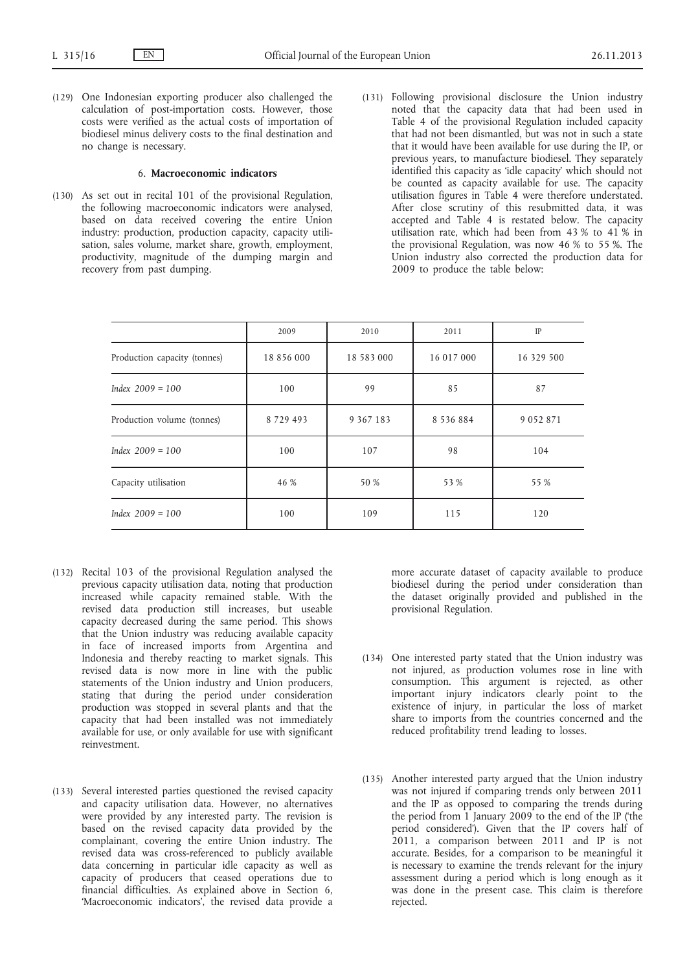(129) One Indonesian exporting producer also challenged the calculation of post-importation costs. However, those costs were verified as the actual costs of importation of biodiesel minus delivery costs to the final destination and no change is necessary.

# 6. **Macroeconomic indicators**

- (130) As set out in recital 101 of the provisional Regulation, the following macroeconomic indicators were analysed, based on data received covering the entire Union industry: production, production capacity, capacity utilisation, sales volume, market share, growth, employment, productivity, magnitude of the dumping margin and recovery from past dumping.
- (131) Following provisional disclosure the Union industry noted that the capacity data that had been used in Table 4 of the provisional Regulation included capacity that had not been dismantled, but was not in such a state that it would have been available for use during the IP, or previous years, to manufacture biodiesel. They separately identified this capacity as 'idle capacity' which should not be counted as capacity available for use. The capacity utilisation figures in Table 4 were therefore understated. After close scrutiny of this resubmitted data, it was accepted and Table 4 is restated below. The capacity utilisation rate, which had been from 43 % to 41 % in the provisional Regulation, was now 46 % to 55 %. The Union industry also corrected the production data for 2009 to produce the table below:

|                              | 2009       | 2010          | 2011          | IP         |
|------------------------------|------------|---------------|---------------|------------|
| Production capacity (tonnes) | 18 856 000 | 18 583 000    | 16 017 000    | 16 329 500 |
| Index $2009 = 100$           | 100        | 99            | 85            | 87         |
| Production volume (tonnes)   | 8729493    | 9 3 6 7 1 8 3 | 8 5 3 6 8 8 4 | 9052871    |
| Index $2009 = 100$           | 100        | 107           | 98            | 104        |
| Capacity utilisation         | 46 %       | 50 %          | 53 %          | 55 %       |
| $Index 2009 = 100$           | 100        | 109           | 115           | 120        |

- (132) Recital 103 of the provisional Regulation analysed the previous capacity utilisation data, noting that production increased while capacity remained stable. With the revised data production still increases, but useable capacity decreased during the same period. This shows that the Union industry was reducing available capacity in face of increased imports from Argentina and Indonesia and thereby reacting to market signals. This revised data is now more in line with the public statements of the Union industry and Union producers, stating that during the period under consideration production was stopped in several plants and that the capacity that had been installed was not immediately available for use, or only available for use with significant reinvestment.
- (133) Several interested parties questioned the revised capacity and capacity utilisation data. However, no alternatives were provided by any interested party. The revision is based on the revised capacity data provided by the complainant, covering the entire Union industry. The revised data was cross-referenced to publicly available data concerning in particular idle capacity as well as capacity of producers that ceased operations due to financial difficulties. As explained above in Section 6, 'Macroeconomic indicators', the revised data provide a

more accurate dataset of capacity available to produce biodiesel during the period under consideration than the dataset originally provided and published in the provisional Regulation.

- (134) One interested party stated that the Union industry was not injured, as production volumes rose in line with consumption. This argument is rejected, as other important injury indicators clearly point to the existence of injury, in particular the loss of market share to imports from the countries concerned and the reduced profitability trend leading to losses.
- (135) Another interested party argued that the Union industry was not injured if comparing trends only between 2011 and the IP as opposed to comparing the trends during the period from 1 January 2009 to the end of the IP ('the period considered'). Given that the IP covers half of 2011, a comparison between 2011 and IP is not accurate. Besides, for a comparison to be meaningful it is necessary to examine the trends relevant for the injury assessment during a period which is long enough as it was done in the present case. This claim is therefore rejected.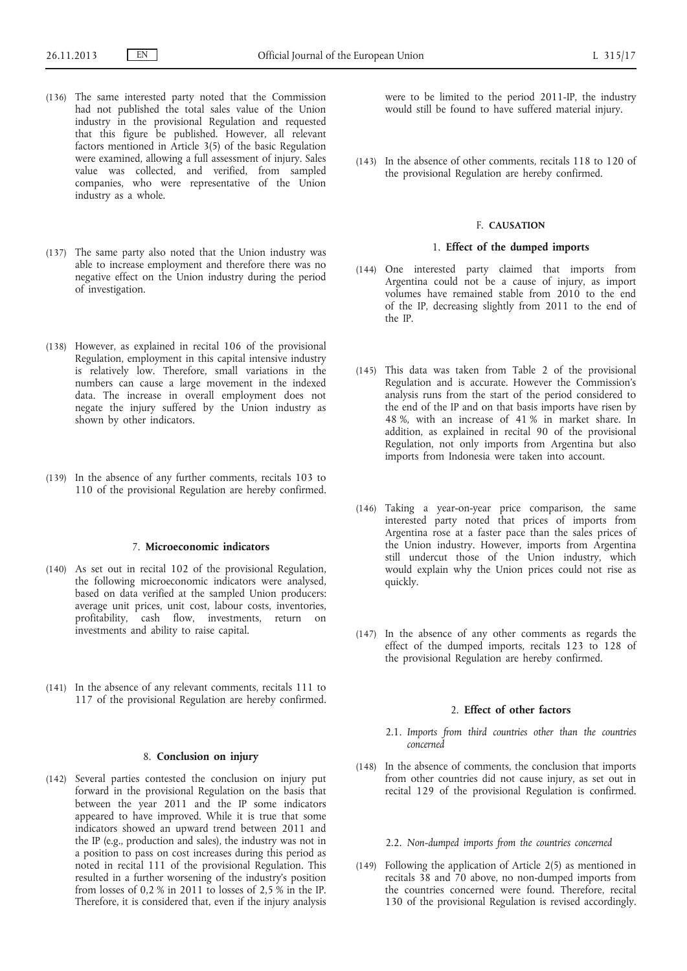- (136) The same interested party noted that the Commission had not published the total sales value of the Union industry in the provisional Regulation and requested that this figure be published. However, all relevant factors mentioned in Article 3(5) of the basic Regulation were examined, allowing a full assessment of injury. Sales value was collected, and verified, from sampled companies, who were representative of the Union industry as a whole.
- (137) The same party also noted that the Union industry was able to increase employment and therefore there was no negative effect on the Union industry during the period of investigation.
- (138) However, as explained in recital 106 of the provisional Regulation, employment in this capital intensive industry is relatively low. Therefore, small variations in the numbers can cause a large movement in the indexed data. The increase in overall employment does not negate the injury suffered by the Union industry as shown by other indicators.
- (139) In the absence of any further comments, recitals 103 to 110 of the provisional Regulation are hereby confirmed.

### 7. **Microeconomic indicators**

- (140) As set out in recital 102 of the provisional Regulation, the following microeconomic indicators were analysed, based on data verified at the sampled Union producers: average unit prices, unit cost, labour costs, inventories, profitability, cash flow, investments, return on investments and ability to raise capital.
- (141) In the absence of any relevant comments, recitals 111 to 117 of the provisional Regulation are hereby confirmed.

### 8. **Conclusion on injury**

(142) Several parties contested the conclusion on injury put forward in the provisional Regulation on the basis that between the year 2011 and the IP some indicators appeared to have improved. While it is true that some indicators showed an upward trend between 2011 and the IP (e.g., production and sales), the industry was not in a position to pass on cost increases during this period as noted in recital 111 of the provisional Regulation. This resulted in a further worsening of the industry's position from losses of 0,2 % in 2011 to losses of 2,5 % in the IP. Therefore, it is considered that, even if the injury analysis were to be limited to the period 2011-IP, the industry would still be found to have suffered material injury.

(143) In the absence of other comments, recitals 118 to 120 of the provisional Regulation are hereby confirmed.

#### F. **CAUSATION**

# 1. **Effect of the dumped imports**

- (144) One interested party claimed that imports from Argentina could not be a cause of injury, as import volumes have remained stable from 2010 to the end of the IP, decreasing slightly from 2011 to the end of the IP.
- (145) This data was taken from Table 2 of the provisional Regulation and is accurate. However the Commission's analysis runs from the start of the period considered to the end of the IP and on that basis imports have risen by 48 %, with an increase of 41 % in market share. In addition, as explained in recital 90 of the provisional Regulation, not only imports from Argentina but also imports from Indonesia were taken into account.
- (146) Taking a year-on-year price comparison, the same interested party noted that prices of imports from Argentina rose at a faster pace than the sales prices of the Union industry. However, imports from Argentina still undercut those of the Union industry, which would explain why the Union prices could not rise as quickly.
- (147) In the absence of any other comments as regards the effect of the dumped imports, recitals 123 to 128 of the provisional Regulation are hereby confirmed.

### 2. **Effect of other factors**

- 2.1. *Imports from third countries other than the countries concerned*
- (148) In the absence of comments, the conclusion that imports from other countries did not cause injury, as set out in recital 129 of the provisional Regulation is confirmed.

# 2.2. *Non-dumped imports from the countries concerned*

(149) Following the application of Article 2(5) as mentioned in recitals 38 and 70 above, no non-dumped imports from the countries concerned were found. Therefore, recital 130 of the provisional Regulation is revised accordingly.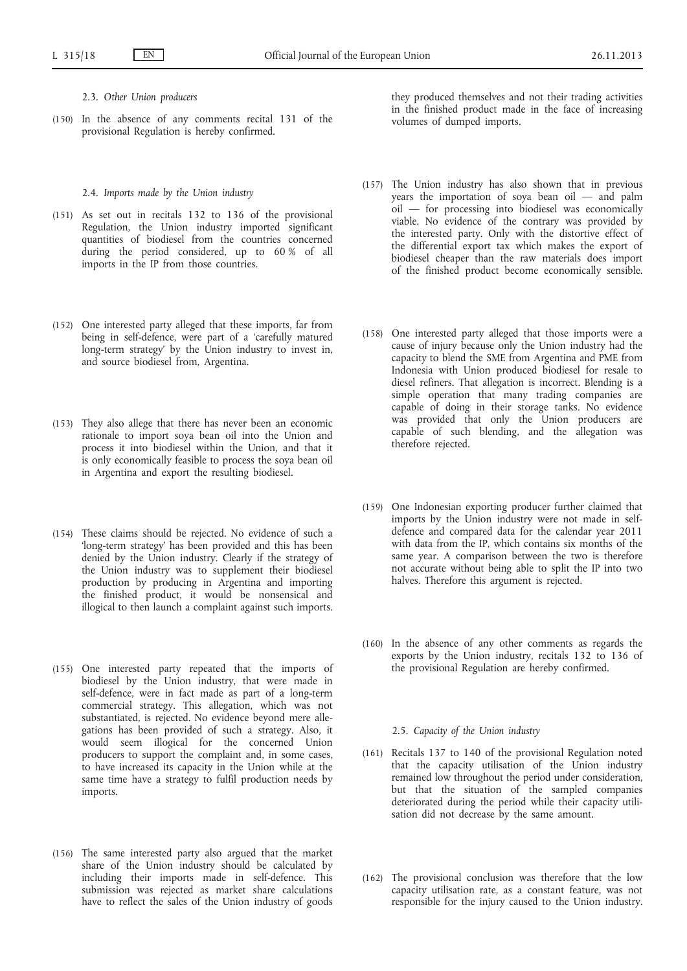2.3. *Other Union producers*

(150) In the absence of any comments recital 131 of the provisional Regulation is hereby confirmed.

#### 2.4. *Imports made by the Union industry*

- (151) As set out in recitals 132 to 136 of the provisional Regulation, the Union industry imported significant quantities of biodiesel from the countries concerned during the period considered, up to 60 % of all imports in the IP from those countries.
- (152) One interested party alleged that these imports, far from being in self-defence, were part of a 'carefully matured long-term strategy' by the Union industry to invest in, and source biodiesel from, Argentina.
- (153) They also allege that there has never been an economic rationale to import soya bean oil into the Union and process it into biodiesel within the Union, and that it is only economically feasible to process the soya bean oil in Argentina and export the resulting biodiesel.
- (154) These claims should be rejected. No evidence of such a 'long-term strategy' has been provided and this has been denied by the Union industry. Clearly if the strategy of the Union industry was to supplement their biodiesel production by producing in Argentina and importing the finished product, it would be nonsensical and illogical to then launch a complaint against such imports.
- (155) One interested party repeated that the imports of biodiesel by the Union industry, that were made in self-defence, were in fact made as part of a long-term commercial strategy. This allegation, which was not substantiated, is rejected. No evidence beyond mere allegations has been provided of such a strategy. Also, it would seem illogical for the concerned Union producers to support the complaint and, in some cases, to have increased its capacity in the Union while at the same time have a strategy to fulfil production needs by imports.
- (156) The same interested party also argued that the market share of the Union industry should be calculated by including their imports made in self-defence. This submission was rejected as market share calculations have to reflect the sales of the Union industry of goods

they produced themselves and not their trading activities in the finished product made in the face of increasing volumes of dumped imports.

- (157) The Union industry has also shown that in previous years the importation of soya bean oil — and palm  $\ddot{\text{o}}$ il — for processing into biodiesel was economically viable. No evidence of the contrary was provided by the interested party. Only with the distortive effect of the differential export tax which makes the export of biodiesel cheaper than the raw materials does import of the finished product become economically sensible.
- (158) One interested party alleged that those imports were a cause of injury because only the Union industry had the capacity to blend the SME from Argentina and PME from Indonesia with Union produced biodiesel for resale to diesel refiners. That allegation is incorrect. Blending is a simple operation that many trading companies are capable of doing in their storage tanks. No evidence was provided that only the Union producers are capable of such blending, and the allegation was therefore rejected.
- (159) One Indonesian exporting producer further claimed that imports by the Union industry were not made in selfdefence and compared data for the calendar year 2011 with data from the IP, which contains six months of the same year. A comparison between the two is therefore not accurate without being able to split the IP into two halves. Therefore this argument is rejected.
- (160) In the absence of any other comments as regards the exports by the Union industry, recitals 132 to 136 of the provisional Regulation are hereby confirmed.

# 2.5. *Capacity of the Union industry*

- (161) Recitals 137 to 140 of the provisional Regulation noted that the capacity utilisation of the Union industry remained low throughout the period under consideration, but that the situation of the sampled companies deteriorated during the period while their capacity utilisation did not decrease by the same amount.
- (162) The provisional conclusion was therefore that the low capacity utilisation rate, as a constant feature, was not responsible for the injury caused to the Union industry.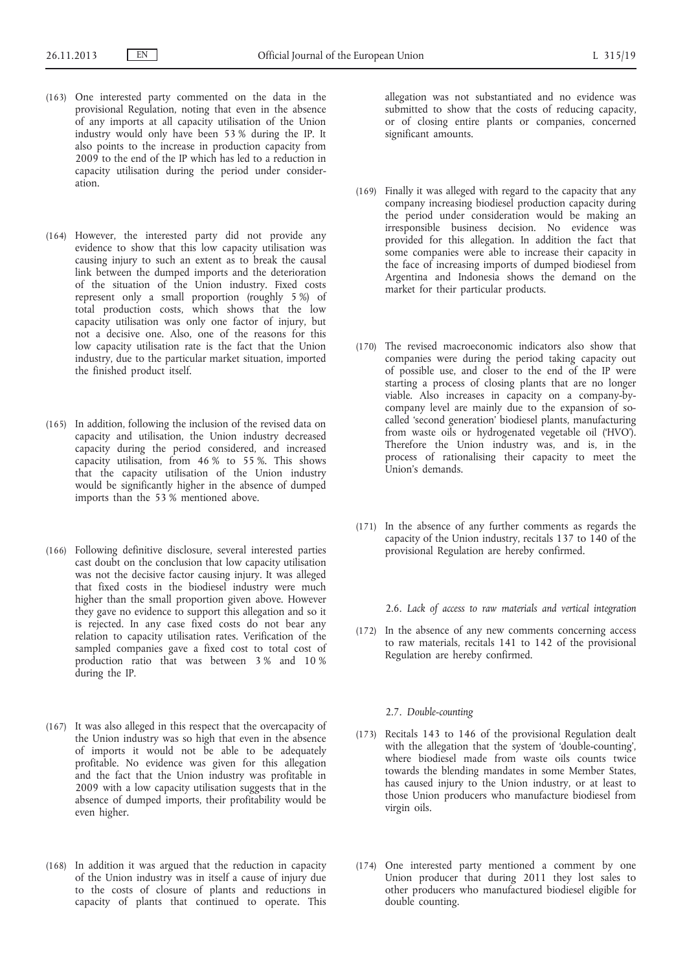- (163) One interested party commented on the data in the provisional Regulation, noting that even in the absence of any imports at all capacity utilisation of the Union industry would only have been 53 % during the IP. It also points to the increase in production capacity from 2009 to the end of the IP which has led to a reduction in capacity utilisation during the period under consideration.
- (164) However, the interested party did not provide any evidence to show that this low capacity utilisation was causing injury to such an extent as to break the causal link between the dumped imports and the deterioration of the situation of the Union industry. Fixed costs represent only a small proportion (roughly 5 %) of total production costs, which shows that the low capacity utilisation was only one factor of injury, but not a decisive one. Also, one of the reasons for this low capacity utilisation rate is the fact that the Union industry, due to the particular market situation, imported the finished product itself.
- (165) In addition, following the inclusion of the revised data on capacity and utilisation, the Union industry decreased capacity during the period considered, and increased capacity utilisation, from 46 % to 55 %. This shows that the capacity utilisation of the Union industry would be significantly higher in the absence of dumped imports than the 53 % mentioned above.
- (166) Following definitive disclosure, several interested parties cast doubt on the conclusion that low capacity utilisation was not the decisive factor causing injury. It was alleged that fixed costs in the biodiesel industry were much higher than the small proportion given above. However they gave no evidence to support this allegation and so it is rejected. In any case fixed costs do not bear any relation to capacity utilisation rates. Verification of the sampled companies gave a fixed cost to total cost of production ratio that was between 3 % and 10 % during the IP.
- (167) It was also alleged in this respect that the overcapacity of the Union industry was so high that even in the absence of imports it would not be able to be adequately profitable. No evidence was given for this allegation and the fact that the Union industry was profitable in 2009 with a low capacity utilisation suggests that in the absence of dumped imports, their profitability would be even higher.
- (168) In addition it was argued that the reduction in capacity of the Union industry was in itself a cause of injury due to the costs of closure of plants and reductions in capacity of plants that continued to operate. This

allegation was not substantiated and no evidence was submitted to show that the costs of reducing capacity, or of closing entire plants or companies, concerned significant amounts.

- (169) Finally it was alleged with regard to the capacity that any company increasing biodiesel production capacity during the period under consideration would be making an irresponsible business decision. No evidence was provided for this allegation. In addition the fact that some companies were able to increase their capacity in the face of increasing imports of dumped biodiesel from Argentina and Indonesia shows the demand on the market for their particular products.
- (170) The revised macroeconomic indicators also show that companies were during the period taking capacity out of possible use, and closer to the end of the IP were starting a process of closing plants that are no longer viable. Also increases in capacity on a company-bycompany level are mainly due to the expansion of socalled 'second generation' biodiesel plants, manufacturing from waste oils or hydrogenated vegetable oil ('HVO'). Therefore the Union industry was, and is, in the process of rationalising their capacity to meet the Union's demands.
- (171) In the absence of any further comments as regards the capacity of the Union industry, recitals 137 to 140 of the provisional Regulation are hereby confirmed.

2.6. *Lack of access to raw materials and vertical integration*

(172) In the absence of any new comments concerning access to raw materials, recitals 141 to 142 of the provisional Regulation are hereby confirmed.

### 2.7. *Double-counting*

- (173) Recitals 143 to 146 of the provisional Regulation dealt with the allegation that the system of 'double-counting', where biodiesel made from waste oils counts twice towards the blending mandates in some Member States, has caused injury to the Union industry, or at least to those Union producers who manufacture biodiesel from virgin oils.
- (174) One interested party mentioned a comment by one Union producer that during 2011 they lost sales to other producers who manufactured biodiesel eligible for double counting.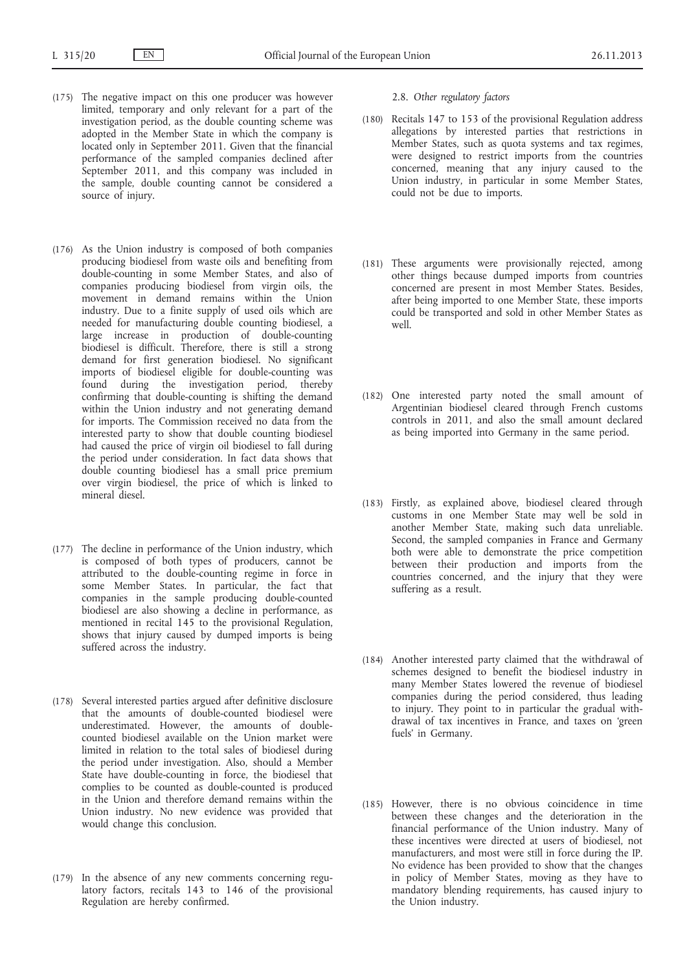- (175) The negative impact on this one producer was however limited, temporary and only relevant for a part of the investigation period, as the double counting scheme was adopted in the Member State in which the company is located only in September 2011. Given that the financial performance of the sampled companies declined after September 2011, and this company was included in the sample, double counting cannot be considered a source of injury.
- (176) As the Union industry is composed of both companies producing biodiesel from waste oils and benefiting from double-counting in some Member States, and also of companies producing biodiesel from virgin oils, the movement in demand remains within the Union industry. Due to a finite supply of used oils which are needed for manufacturing double counting biodiesel, a large increase in production of double-counting biodiesel is difficult. Therefore, there is still a strong demand for first generation biodiesel. No significant imports of biodiesel eligible for double-counting was found during the investigation period, thereby confirming that double-counting is shifting the demand within the Union industry and not generating demand for imports. The Commission received no data from the interested party to show that double counting biodiesel had caused the price of virgin oil biodiesel to fall during the period under consideration. In fact data shows that double counting biodiesel has a small price premium over virgin biodiesel, the price of which is linked to mineral diesel.
- (177) The decline in performance of the Union industry, which is composed of both types of producers, cannot be attributed to the double-counting regime in force in some Member States. In particular, the fact that companies in the sample producing double-counted biodiesel are also showing a decline in performance, as mentioned in recital 145 to the provisional Regulation, shows that injury caused by dumped imports is being suffered across the industry.
- (178) Several interested parties argued after definitive disclosure that the amounts of double-counted biodiesel were underestimated. However, the amounts of doublecounted biodiesel available on the Union market were limited in relation to the total sales of biodiesel during the period under investigation. Also, should a Member State have double-counting in force, the biodiesel that complies to be counted as double-counted is produced in the Union and therefore demand remains within the Union industry. No new evidence was provided that would change this conclusion.
- (179) In the absence of any new comments concerning regulatory factors, recitals 143 to 146 of the provisional Regulation are hereby confirmed.

# 2.8. *Other regulatory factors*

- (180) Recitals 147 to 153 of the provisional Regulation address allegations by interested parties that restrictions in Member States, such as quota systems and tax regimes, were designed to restrict imports from the countries concerned, meaning that any injury caused to the Union industry, in particular in some Member States, could not be due to imports.
- (181) These arguments were provisionally rejected, among other things because dumped imports from countries concerned are present in most Member States. Besides, after being imported to one Member State, these imports could be transported and sold in other Member States as well.
- (182) One interested party noted the small amount of Argentinian biodiesel cleared through French customs controls in 2011, and also the small amount declared as being imported into Germany in the same period.
- (183) Firstly, as explained above, biodiesel cleared through customs in one Member State may well be sold in another Member State, making such data unreliable. Second, the sampled companies in France and Germany both were able to demonstrate the price competition between their production and imports from the countries concerned, and the injury that they were suffering as a result.
- (184) Another interested party claimed that the withdrawal of schemes designed to benefit the biodiesel industry in many Member States lowered the revenue of biodiesel companies during the period considered, thus leading to injury. They point to in particular the gradual withdrawal of tax incentives in France, and taxes on 'green fuels' in Germany.
- (185) However, there is no obvious coincidence in time between these changes and the deterioration in the financial performance of the Union industry. Many of these incentives were directed at users of biodiesel, not manufacturers, and most were still in force during the IP. No evidence has been provided to show that the changes in policy of Member States, moving as they have to mandatory blending requirements, has caused injury to the Union industry.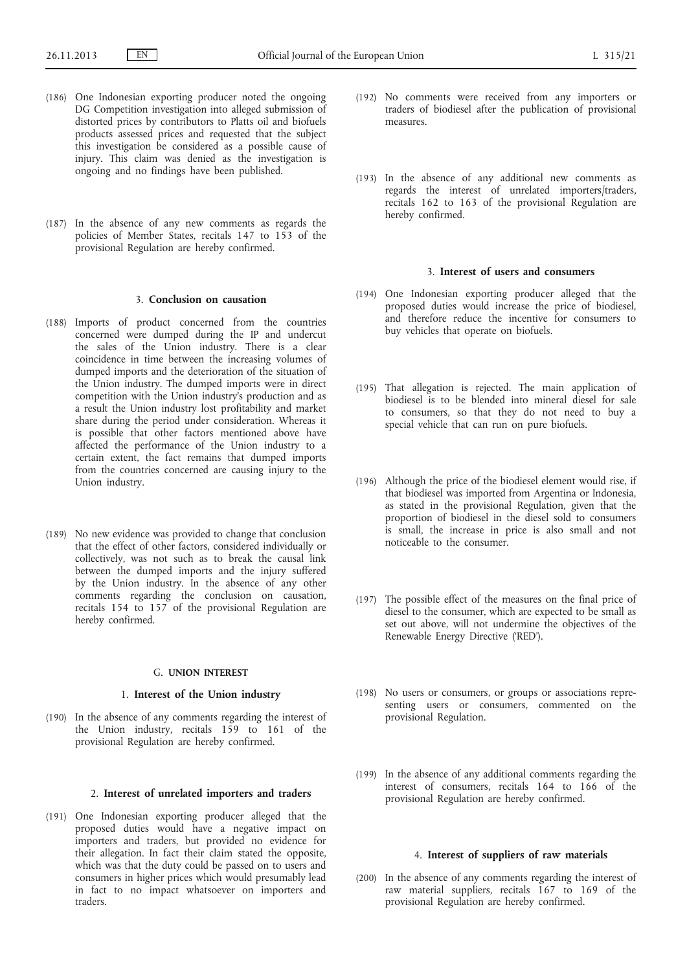- (186) One Indonesian exporting producer noted the ongoing DG Competition investigation into alleged submission of distorted prices by contributors to Platts oil and biofuels products assessed prices and requested that the subject this investigation be considered as a possible cause of injury. This claim was denied as the investigation is ongoing and no findings have been published.
- (187) In the absence of any new comments as regards the policies of Member States, recitals 147 to 153 of the provisional Regulation are hereby confirmed.

### 3. **Conclusion on causation**

- (188) Imports of product concerned from the countries concerned were dumped during the IP and undercut the sales of the Union industry. There is a clear coincidence in time between the increasing volumes of dumped imports and the deterioration of the situation of the Union industry. The dumped imports were in direct competition with the Union industry's production and as a result the Union industry lost profitability and market share during the period under consideration. Whereas it is possible that other factors mentioned above have affected the performance of the Union industry to a certain extent, the fact remains that dumped imports from the countries concerned are causing injury to the Union industry.
- (189) No new evidence was provided to change that conclusion that the effect of other factors, considered individually or collectively, was not such as to break the causal link between the dumped imports and the injury suffered by the Union industry. In the absence of any other comments regarding the conclusion on causation, recitals 154 to 157 of the provisional Regulation are hereby confirmed.

#### G. **UNION INTEREST**

### 1. **Interest of the Union industry**

(190) In the absence of any comments regarding the interest of the Union industry, recitals 159 to 161 of the provisional Regulation are hereby confirmed.

# 2. **Interest of unrelated importers and traders**

(191) One Indonesian exporting producer alleged that the proposed duties would have a negative impact on importers and traders, but provided no evidence for their allegation. In fact their claim stated the opposite, which was that the duty could be passed on to users and consumers in higher prices which would presumably lead in fact to no impact whatsoever on importers and traders.

- (192) No comments were received from any importers or traders of biodiesel after the publication of provisional measures.
- (193) In the absence of any additional new comments as regards the interest of unrelated importers/traders, recitals 162 to 163 of the provisional Regulation are hereby confirmed.

# 3. **Interest of users and consumers**

- (194) One Indonesian exporting producer alleged that the proposed duties would increase the price of biodiesel, and therefore reduce the incentive for consumers to buy vehicles that operate on biofuels.
- (195) That allegation is rejected. The main application of biodiesel is to be blended into mineral diesel for sale to consumers, so that they do not need to buy a special vehicle that can run on pure biofuels.
- (196) Although the price of the biodiesel element would rise, if that biodiesel was imported from Argentina or Indonesia, as stated in the provisional Regulation, given that the proportion of biodiesel in the diesel sold to consumers is small, the increase in price is also small and not noticeable to the consumer.
- (197) The possible effect of the measures on the final price of diesel to the consumer, which are expected to be small as set out above, will not undermine the objectives of the Renewable Energy Directive ('RED').
- (198) No users or consumers, or groups or associations representing users or consumers, commented on the provisional Regulation.
- (199) In the absence of any additional comments regarding the interest of consumers, recitals 164 to 166 of the provisional Regulation are hereby confirmed.

# 4. **Interest of suppliers of raw materials**

(200) In the absence of any comments regarding the interest of raw material suppliers, recitals 167 to 169 of the provisional Regulation are hereby confirmed.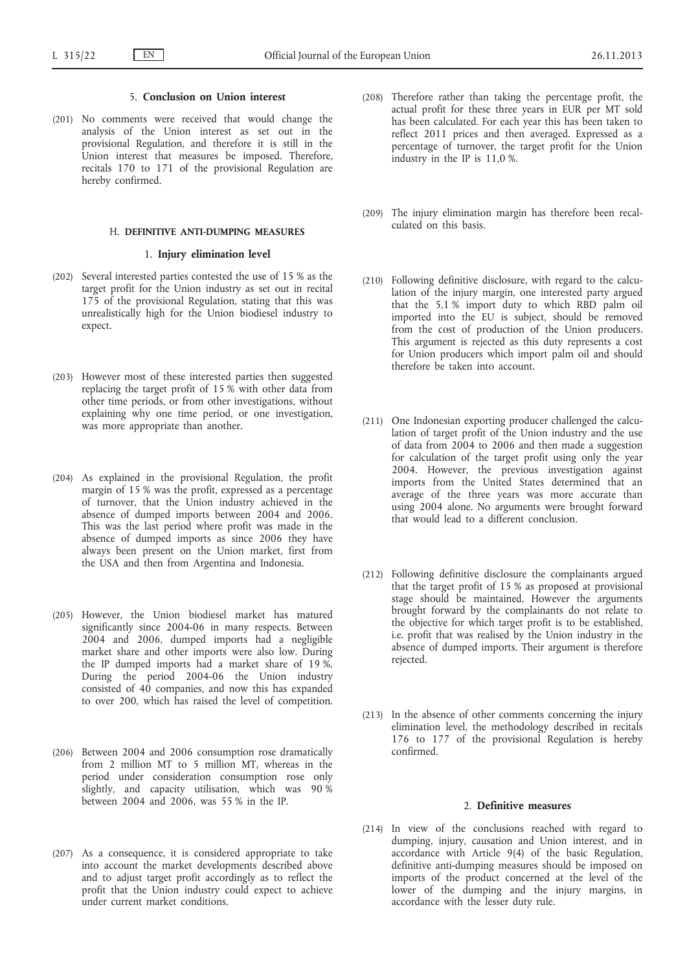# 5. **Conclusion on Union interest**

(201) No comments were received that would change the analysis of the Union interest as set out in the provisional Regulation, and therefore it is still in the Union interest that measures be imposed. Therefore, recitals 170 to 171 of the provisional Regulation are hereby confirmed.

# H. **DEFINITIVE ANTI-DUMPING MEASURES**

# 1. **Injury elimination level**

- (202) Several interested parties contested the use of 15 % as the target profit for the Union industry as set out in recital 175 of the provisional Regulation, stating that this was unrealistically high for the Union biodiesel industry to expect.
- (203) However most of these interested parties then suggested replacing the target profit of 15 % with other data from other time periods, or from other investigations, without explaining why one time period, or one investigation, was more appropriate than another.
- (204) As explained in the provisional Regulation, the profit margin of 15 % was the profit, expressed as a percentage of turnover, that the Union industry achieved in the absence of dumped imports between 2004 and 2006. This was the last period where profit was made in the absence of dumped imports as since 2006 they have always been present on the Union market, first from the USA and then from Argentina and Indonesia.
- (205) However, the Union biodiesel market has matured significantly since 2004-06 in many respects. Between 2004 and 2006, dumped imports had a negligible market share and other imports were also low. During the IP dumped imports had a market share of 19 %. During the period 2004-06 the Union industry consisted of 40 companies, and now this has expanded to over 200, which has raised the level of competition.
- (206) Between 2004 and 2006 consumption rose dramatically from 2 million MT to 5 million MT, whereas in the period under consideration consumption rose only slightly, and capacity utilisation, which was 90 % between 2004 and 2006, was 55 % in the IP.
- (207) As a consequence, it is considered appropriate to take into account the market developments described above and to adjust target profit accordingly as to reflect the profit that the Union industry could expect to achieve under current market conditions.
- (208) Therefore rather than taking the percentage profit, the actual profit for these three years in EUR per MT sold has been calculated. For each year this has been taken to reflect 2011 prices and then averaged. Expressed as a percentage of turnover, the target profit for the Union industry in the IP is 11,0 %.
- (209) The injury elimination margin has therefore been recalculated on this basis.
- (210) Following definitive disclosure, with regard to the calculation of the injury margin, one interested party argued that the 5,1 % import duty to which RBD palm oil imported into the EU is subject, should be removed from the cost of production of the Union producers. This argument is rejected as this duty represents a cost for Union producers which import palm oil and should therefore be taken into account.
- (211) One Indonesian exporting producer challenged the calculation of target profit of the Union industry and the use of data from 2004 to 2006 and then made a suggestion for calculation of the target profit using only the year 2004. However, the previous investigation against imports from the United States determined that an average of the three years was more accurate than using 2004 alone. No arguments were brought forward that would lead to a different conclusion.
- (212) Following definitive disclosure the complainants argued that the target profit of 15 % as proposed at provisional stage should be maintained. However the arguments brought forward by the complainants do not relate to the objective for which target profit is to be established, i.e. profit that was realised by the Union industry in the absence of dumped imports. Their argument is therefore rejected.
- (213) In the absence of other comments concerning the injury elimination level, the methodology described in recitals 176 to 177 of the provisional Regulation is hereby confirmed.

### 2. **Definitive measures**

(214) In view of the conclusions reached with regard to dumping, injury, causation and Union interest, and in accordance with Article 9(4) of the basic Regulation, definitive anti-dumping measures should be imposed on imports of the product concerned at the level of the lower of the dumping and the injury margins, in accordance with the lesser duty rule.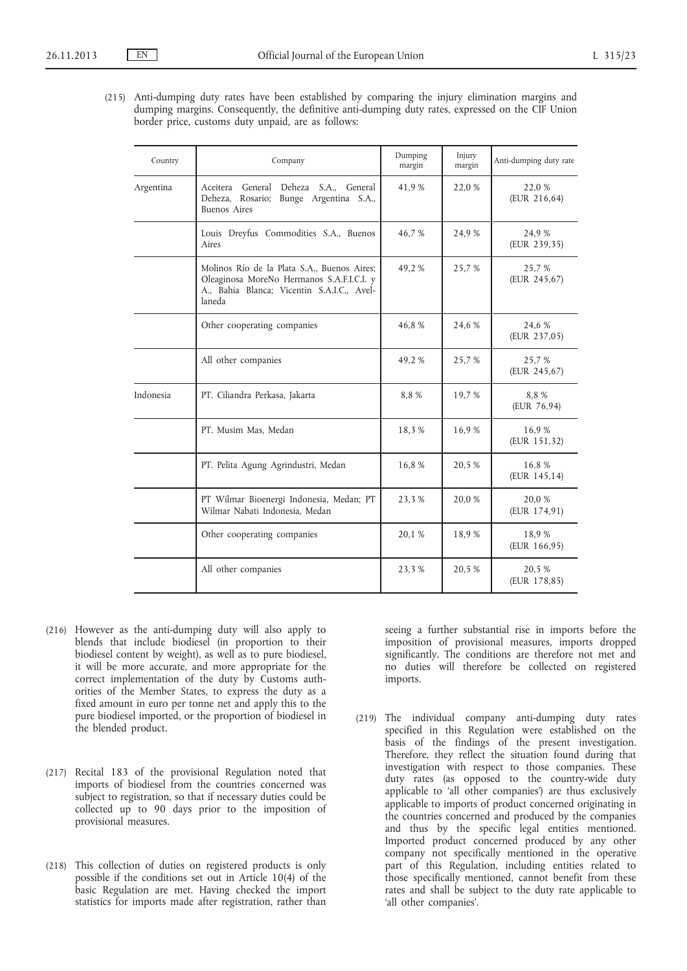(215) Anti-dumping duty rates have been established by comparing the injury elimination margins and dumping margins. Consequently, the definitive anti-dumping duty rates, expressed on the CIF Union border price, customs duty unpaid, are as follows:

| Country   | Company                                                                                                                                          | Dumping<br>margin | Injury<br>margin | Anti-dumping duty rate |
|-----------|--------------------------------------------------------------------------------------------------------------------------------------------------|-------------------|------------------|------------------------|
| Argentina | Aceitera General Deheza S.A., General<br>Rosario; Bunge Argentina S.A.,<br>Deheza,<br><b>Buenos</b> Aires                                        | 41,9%             | 22,0 %           | 22,0 %<br>(EUR 216,64) |
|           | Louis Dreyfus Commodities S.A., Buenos<br>Aires                                                                                                  | 46,7%             | 24,9 %           | 24,9 %<br>(EUR 239,35) |
|           | Molinos Río de la Plata S.A., Buenos Aires;<br>Oleaginosa MoreNo Hermanos S.A.F.I.C.I. y<br>A., Bahia Blanca; Vicentin S.A.I.C., Avel-<br>laneda | 49,2%             | 25,7 %           | 25,7 %<br>(EUR 245,67) |
|           | Other cooperating companies                                                                                                                      | 46,8%             | 24,6 %           | 24,6 %<br>(EUR 237,05) |
|           | All other companies                                                                                                                              | 49,2%             | 25,7 %           | 25,7 %<br>(EUR 245,67) |
| Indonesia | PT. Ciliandra Perkasa, Jakarta                                                                                                                   | 8,8%              | 19,7 %           | 8.8%<br>(EUR 76,94)    |
|           | PT. Musim Mas, Medan                                                                                                                             | 18,3%             | 16,9%            | 16,9%<br>(EUR 151,32)  |
|           | PT. Pelita Agung Agrindustri, Medan                                                                                                              | 16,8%             | 20,5 %           | 16,8 %<br>(EUR 145,14) |
|           | PT Wilmar Bioenergi Indonesia, Medan; PT<br>Wilmar Nabati Indonesia, Medan                                                                       | 23,3 %            | 20,0 %           | 20,0%<br>(EUR 174,91)  |
|           | Other cooperating companies                                                                                                                      | 20,1 %            | 18,9%            | 18,9%<br>(EUR 166,95)  |
|           | All other companies                                                                                                                              | 23,3 %            | 20,5 %           | 20,5 %<br>(EUR 178,85) |
|           |                                                                                                                                                  |                   |                  |                        |

- (216) However as the anti-dumping duty will also apply to blends that include biodiesel (in proportion to their biodiesel content by weight), as well as to pure biodiesel, it will be more accurate, and more appropriate for the correct implementation of the duty by Customs authorities of the Member States, to express the duty as a fixed amount in euro per tonne net and apply this to the pure biodiesel imported, or the proportion of biodiesel in the blended product.
- (217) Recital 183 of the provisional Regulation noted that imports of biodiesel from the countries concerned was subject to registration, so that if necessary duties could be collected up to 90 days prior to the imposition of provisional measures.
- (218) This collection of duties on registered products is only possible if the conditions set out in Article 10(4) of the basic Regulation are met. Having checked the import statistics for imports made after registration, rather than

seeing a further substantial rise in imports before the imposition of provisional measures, imports dropped significantly. The conditions are therefore not met and no duties will therefore be collected on registered imports.

(219) The individual company anti-dumping duty rates specified in this Regulation were established on the basis of the findings of the present investigation. Therefore, they reflect the situation found during that investigation with respect to those companies. These duty rates (as opposed to the country-wide duty applicable to 'all other companies') are thus exclusively applicable to imports of product concerned originating in the countries concerned and produced by the companies and thus by the specific legal entities mentioned. Imported product concerned produced by any other company not specifically mentioned in the operative part of this Regulation, including entities related to those specifically mentioned, cannot benefit from these rates and shall be subject to the duty rate applicable to 'all other companies'.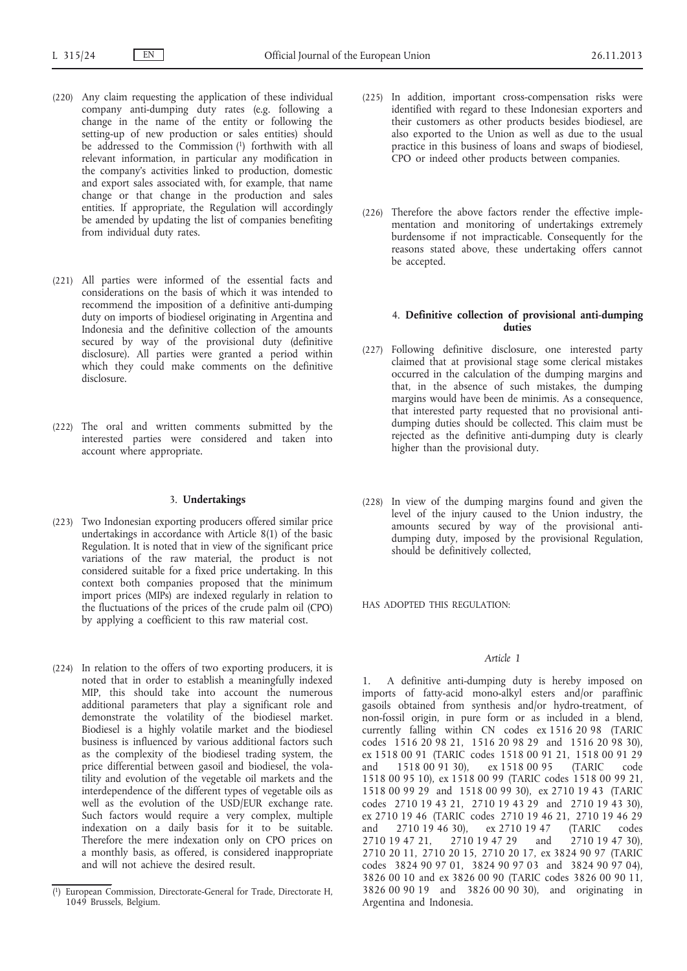- (220) Any claim requesting the application of these individual company anti-dumping duty rates (e.g. following a change in the name of the entity or following the setting-up of new production or sales entities) should be addressed to the Commission (1) forthwith with all relevant information, in particular any modification in the company's activities linked to production, domestic and export sales associated with, for example, that name change or that change in the production and sales entities. If appropriate, the Regulation will accordingly be amended by updating the list of companies benefiting from individual duty rates.
- (221) All parties were informed of the essential facts and considerations on the basis of which it was intended to recommend the imposition of a definitive anti-dumping duty on imports of biodiesel originating in Argentina and Indonesia and the definitive collection of the amounts secured by way of the provisional duty (definitive disclosure). All parties were granted a period within which they could make comments on the definitive disclosure.
- (222) The oral and written comments submitted by the interested parties were considered and taken into account where appropriate.

# 3. **Undertakings**

- (223) Two Indonesian exporting producers offered similar price undertakings in accordance with Article 8(1) of the basic Regulation. It is noted that in view of the significant price variations of the raw material, the product is not considered suitable for a fixed price undertaking. In this context both companies proposed that the minimum import prices (MIPs) are indexed regularly in relation to the fluctuations of the prices of the crude palm oil (CPO) by applying a coefficient to this raw material cost.
- (224) In relation to the offers of two exporting producers, it is noted that in order to establish a meaningfully indexed MIP, this should take into account the numerous additional parameters that play a significant role and demonstrate the volatility of the biodiesel market. Biodiesel is a highly volatile market and the biodiesel business is influenced by various additional factors such as the complexity of the biodiesel trading system, the price differential between gasoil and biodiesel, the volatility and evolution of the vegetable oil markets and the interdependence of the different types of vegetable oils as well as the evolution of the USD/EUR exchange rate. Such factors would require a very complex, multiple indexation on a daily basis for it to be suitable. Therefore the mere indexation only on CPO prices on a monthly basis, as offered, is considered inappropriate and will not achieve the desired result.
- (225) In addition, important cross-compensation risks were identified with regard to these Indonesian exporters and their customers as other products besides biodiesel, are also exported to the Union as well as due to the usual practice in this business of loans and swaps of biodiesel, CPO or indeed other products between companies.
- (226) Therefore the above factors render the effective implementation and monitoring of undertakings extremely burdensome if not impracticable. Consequently for the reasons stated above, these undertaking offers cannot be accepted.

# 4. **Definitive collection of provisional anti-dumping duties**

- (227) Following definitive disclosure, one interested party claimed that at provisional stage some clerical mistakes occurred in the calculation of the dumping margins and that, in the absence of such mistakes, the dumping margins would have been de minimis. As a consequence, that interested party requested that no provisional antidumping duties should be collected. This claim must be rejected as the definitive anti-dumping duty is clearly higher than the provisional duty.
- (228) In view of the dumping margins found and given the level of the injury caused to the Union industry, the amounts secured by way of the provisional antidumping duty, imposed by the provisional Regulation, should be definitively collected,

HAS ADOPTED THIS REGULATION:

### *Article 1*

1. A definitive anti-dumping duty is hereby imposed on imports of fatty-acid mono-alkyl esters and/or paraffinic gasoils obtained from synthesis and/or hydro-treatment, of non-fossil origin, in pure form or as included in a blend, currently falling within CN codes ex 1516 20 98 (TARIC codes 1516 20 98 21, 1516 20 98 29 and 1516 20 98 30), ex 1518 00 91 (TARIC codes 1518 00 91 21, 1518 00 91 29 and 1518 00 91 30), ex 1518 00 95 (TARIC code 1518 00 95 10), ex 1518 00 99 (TARIC codes 1518 00 99 21, 1518 00 99 29 and 1518 00 99 30), ex 2710 19 43 (TARIC codes 2710 19 43 21, 2710 19 43 29 and 2710 19 43 30), ex 2710 19 46 (TARIC codes 2710 19 46 21, 2710 19 46 29<br>and 2710 19 46 30), ex 2710 19 47 (TARIC codes and 2710 19 46 30), ex 2710 19 47 (TARIC 2710 19 47 21, 2710 19 47 29 and 2710 19 47 30), 2710 20 11, 2710 20 15, 2710 20 17, ex 3824 90 97 (TARIC codes 3824 90 97 01, 3824 90 97 03 and 3824 90 97 04), 3826 00 10 and ex 3826 00 90 (TARIC codes 3826 00 90 11, 3826 00 90 19 and 3826 00 90 30), and originating in Argentina and Indonesia.

<sup>(</sup> European Commission, Directorate-General for Trade, Directorate H, 1049 Brussels, Belgium.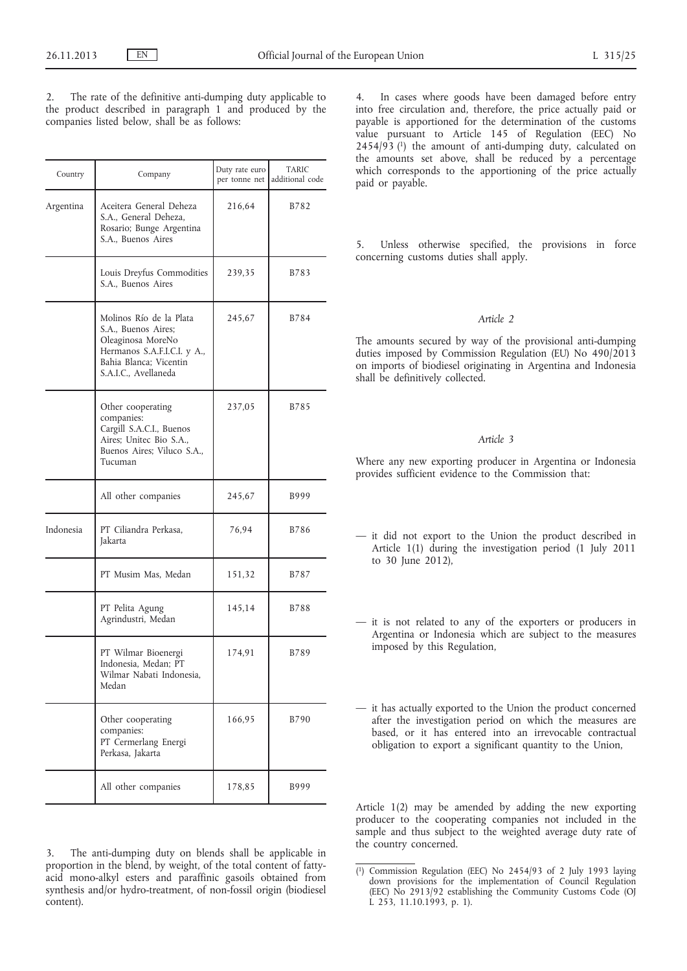The rate of the definitive anti-dumping duty applicable to the product described in paragraph 1 and produced by the companies listed below, shall be as follows:

| Country   | Company                                                                                                                                              | Duty rate euro<br>per tonne net | <b>TARIC</b><br>additional code |  |
|-----------|------------------------------------------------------------------------------------------------------------------------------------------------------|---------------------------------|---------------------------------|--|
| Argentina | Aceitera General Deheza<br>S.A., General Deheza,<br>Rosario; Bunge Argentina<br>S.A., Buenos Aires                                                   | 216,64                          | B782                            |  |
|           | Louis Dreyfus Commodities<br>S.A., Buenos Aires                                                                                                      | 239,35                          | B783                            |  |
|           | Molinos Río de la Plata<br>S.A., Buenos Aires;<br>Oleaginosa MoreNo<br>Hermanos S.A.F.I.C.I. y A.,<br>Bahia Blanca; Vicentin<br>S.A.I.C., Avellaneda | 245,67                          | B784                            |  |
|           | Other cooperating<br>companies:<br>Cargill S.A.C.I., Buenos<br>Aires; Unitec Bio S.A.,<br>Buenos Aires; Viluco S.A.,<br>Tucuman                      | 237,05                          | B785                            |  |
|           | All other companies                                                                                                                                  | 245,67                          | B999                            |  |
| Indonesia | PT Ciliandra Perkasa,<br>Jakarta                                                                                                                     | 76,94                           | B786                            |  |
|           | PT Musim Mas, Medan                                                                                                                                  | 151,32                          | B787                            |  |
|           | PT Pelita Agung<br>Agrindustri, Medan                                                                                                                | 145,14                          | <b>B788</b>                     |  |
|           | PT Wilmar Bioenergi<br>Indonesia, Medan; PT<br>Wilmar Nabati Indonesia,<br>Medan                                                                     | 174,91                          | <b>B789</b>                     |  |
|           | Other cooperating<br>companies:<br>PT Cermerlang Energi<br>Perkasa, Jakarta                                                                          | 166,95                          | B790                            |  |
|           | All other companies                                                                                                                                  | 178,85                          | B999                            |  |

3. The anti-dumping duty on blends shall be applicable in proportion in the blend, by weight, of the total content of fattyacid mono-alkyl esters and paraffinic gasoils obtained from synthesis and/or hydro-treatment, of non-fossil origin (biodiesel content).

4. In cases where goods have been damaged before entry into free circulation and, therefore, the price actually paid or payable is apportioned for the determination of the customs value pursuant to Article 145 of Regulation (EEC) No  $2454/93$  (1) the amount of anti-dumping duty, calculated on the amounts set above, shall be reduced by a percentage which corresponds to the apportioning of the price actually paid or payable.

5. Unless otherwise specified, the provisions in force concerning customs duties shall apply.

### *Article 2*

The amounts secured by way of the provisional anti-dumping duties imposed by Commission Regulation (EU) No 490/2013 on imports of biodiesel originating in Argentina and Indonesia shall be definitively collected.

# *Article 3*

Where any new exporting producer in Argentina or Indonesia provides sufficient evidence to the Commission that:

- it did not export to the Union the product described in Article 1(1) during the investigation period (1 July 2011 to 30 June 2012),
- it is not related to any of the exporters or producers in Argentina or Indonesia which are subject to the measures imposed by this Regulation,
- it has actually exported to the Union the product concerned after the investigation period on which the measures are based, or it has entered into an irrevocable contractual obligation to export a significant quantity to the Union,

Article 1(2) may be amended by adding the new exporting producer to the cooperating companies not included in the sample and thus subject to the weighted average duty rate of the country concerned.

<sup>(</sup> 1) Commission Regulation (EEC) No 2454/93 of 2 July 1993 laying down provisions for the implementation of Council Regulation (EEC) No 2913/92 establishing the Community Customs Code (OJ L 253, 11.10.1993, p. 1).